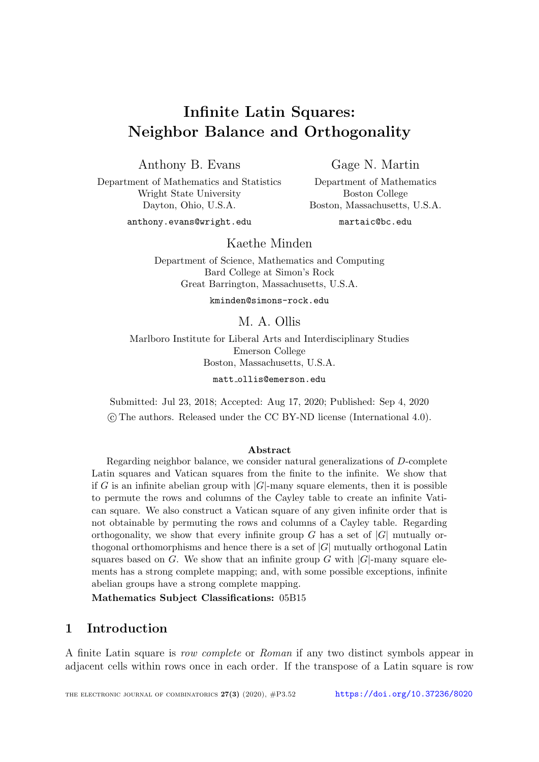# Infinite Latin Squares: Neighbor Balance and Orthogonality

Anthony B. Evans

Department of Mathematics and Statistics Wright State University

Dayton, Ohio, U.S.A.

Gage N. Martin

Department of Mathematics Boston College Boston, Massachusetts, U.S.A.

anthony.evans@wright.edu

martaic@bc.edu

Kaethe Minden

Department of Science, Mathematics and Computing Bard College at Simon's Rock Great Barrington, Massachusetts, U.S.A.

kminden@simons-rock.edu

# M. A. Ollis

Marlboro Institute for Liberal Arts and Interdisciplinary Studies Emerson College Boston, Massachusetts, U.S.A.

matt ollis@emerson.edu

Submitted: Jul 23, 2018; Accepted: Aug 17, 2020; Published: Sep 4, 2020 c The authors. Released under the CC BY-ND license (International 4.0).

#### Abstract

Regarding neighbor balance, we consider natural generalizations of D-complete Latin squares and Vatican squares from the finite to the infinite. We show that if G is an infinite abelian group with  $|G|$ -many square elements, then it is possible to permute the rows and columns of the Cayley table to create an infinite Vatican square. We also construct a Vatican square of any given infinite order that is not obtainable by permuting the rows and columns of a Cayley table. Regarding orthogonality, we show that every infinite group G has a set of  $|G|$  mutually orthogonal orthomorphisms and hence there is a set of  $|G|$  mutually orthogonal Latin squares based on G. We show that an infinite group G with  $|G|$ -many square elements has a strong complete mapping; and, with some possible exceptions, infinite abelian groups have a strong complete mapping.

Mathematics Subject Classifications: 05B15

# 1 Introduction

A finite Latin square is row complete or Roman if any two distinct symbols appear in adjacent cells within rows once in each order. If the transpose of a Latin square is row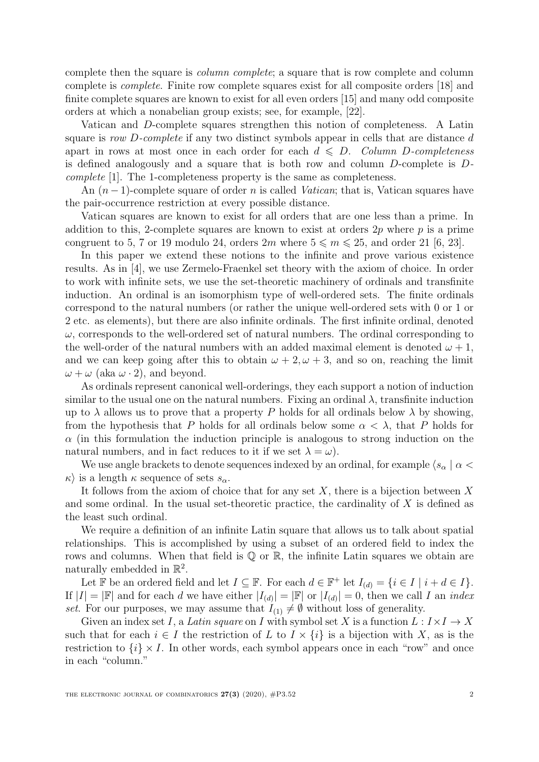complete then the square is column complete; a square that is row complete and column complete is complete. Finite row complete squares exist for all composite orders [\[18\]](#page-21-0) and finite complete squares are known to exist for all even orders [\[15\]](#page-21-1) and many odd composite orders at which a nonabelian group exists; see, for example, [\[22\]](#page-21-2).

Vatican and D-complete squares strengthen this notion of completeness. A Latin square is row D-complete if any two distinct symbols appear in cells that are distance d apart in rows at most once in each order for each  $d \leq D$ . Column D-completeness is defined analogously and a square that is both row and column  $D$ -complete is  $D$ complete [\[1\]](#page-20-0). The 1-completeness property is the same as completeness.

An  $(n-1)$ -complete square of order n is called *Vatican*; that is, Vatican squares have the pair-occurrence restriction at every possible distance.

Vatican squares are known to exist for all orders that are one less than a prime. In addition to this, 2-complete squares are known to exist at orders  $2p$  where p is a prime congruent to 5, 7 or 19 modulo 24, orders  $2m$  where  $5 \leq m \leq 25$ , and order 21 [\[6,](#page-20-1) [23\]](#page-21-3).

In this paper we extend these notions to the infinite and prove various existence results. As in [\[4\]](#page-20-2), we use Zermelo-Fraenkel set theory with the axiom of choice. In order to work with infinite sets, we use the set-theoretic machinery of ordinals and transfinite induction. An ordinal is an isomorphism type of well-ordered sets. The finite ordinals correspond to the natural numbers (or rather the unique well-ordered sets with 0 or 1 or 2 etc. as elements), but there are also infinite ordinals. The first infinite ordinal, denoted  $\omega$ , corresponds to the well-ordered set of natural numbers. The ordinal corresponding to the well-order of the natural numbers with an added maximal element is denoted  $\omega + 1$ , and we can keep going after this to obtain  $\omega + 2, \omega + 3$ , and so on, reaching the limit  $\omega + \omega$  (aka  $\omega \cdot 2$ ), and beyond.

As ordinals represent canonical well-orderings, they each support a notion of induction similar to the usual one on the natural numbers. Fixing an ordinal  $\lambda$ , transfinite induction up to  $\lambda$  allows us to prove that a property P holds for all ordinals below  $\lambda$  by showing, from the hypothesis that P holds for all ordinals below some  $\alpha < \lambda$ , that P holds for  $\alpha$  (in this formulation the induction principle is analogous to strong induction on the natural numbers, and in fact reduces to it if we set  $\lambda = \omega$ .

We use angle brackets to denote sequences indexed by an ordinal, for example  $\langle s_\alpha | \alpha \rangle$  $\kappa$  is a length  $\kappa$  sequence of sets  $s_{\alpha}$ .

It follows from the axiom of choice that for any set  $X$ , there is a bijection between  $X$ and some ordinal. In the usual set-theoretic practice, the cardinality of  $X$  is defined as the least such ordinal.

We require a definition of an infinite Latin square that allows us to talk about spatial relationships. This is accomplished by using a subset of an ordered field to index the rows and columns. When that field is  $\mathbb Q$  or  $\mathbb R$ , the infinite Latin squares we obtain are naturally embedded in  $\mathbb{R}^2$ .

Let  $\mathbb F$  be an ordered field and let  $I \subseteq \mathbb F$ . For each  $d \in \mathbb F^+$  let  $I_{(d)} = \{i \in I \mid i + d \in I\}$ . If  $|I| = |F|$  and for each d we have either  $|I_{(d)}| = |F|$  or  $|I_{(d)}| = 0$ , then we call I an *index* set. For our purposes, we may assume that  $I_{(1)} \neq \emptyset$  without loss of generality.

Given an index set I, a Latin square on I with symbol set X is a function  $L: I \times I \to X$ such that for each  $i \in I$  the restriction of L to  $I \times \{i\}$  is a bijection with X, as is the restriction to  $\{i\} \times I$ . In other words, each symbol appears once in each "row" and once in each "column."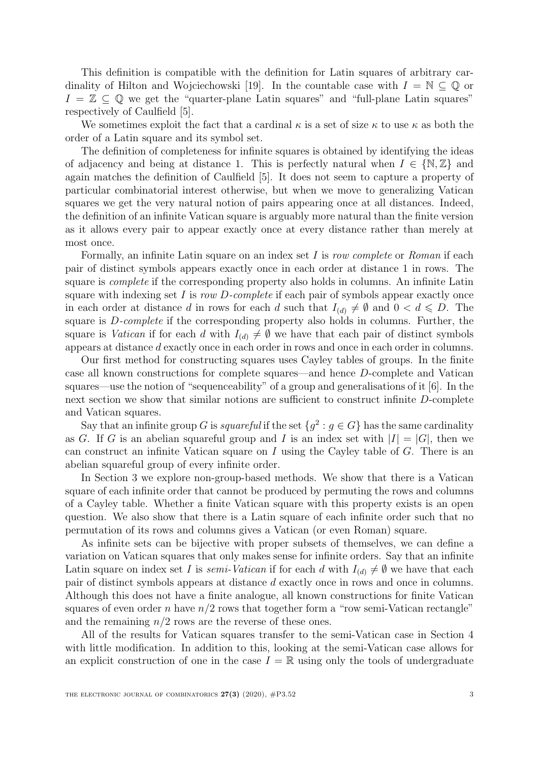This definition is compatible with the definition for Latin squares of arbitrary car-dinality of Hilton and Wojciechowski [\[19\]](#page-21-4). In the countable case with  $I = \mathbb{N} \subset \mathbb{Q}$  or  $I = \mathbb{Z} \subseteq \mathbb{Q}$  we get the "quarter-plane Latin squares" and "full-plane Latin squares" respectively of Caulfield [\[5\]](#page-20-3).

We sometimes exploit the fact that a cardinal  $\kappa$  is a set of size  $\kappa$  to use  $\kappa$  as both the order of a Latin square and its symbol set.

The definition of completeness for infinite squares is obtained by identifying the ideas of adjacency and being at distance 1. This is perfectly natural when  $I \in \{N, \mathbb{Z}\}\$  and again matches the definition of Caulfield [\[5\]](#page-20-3). It does not seem to capture a property of particular combinatorial interest otherwise, but when we move to generalizing Vatican squares we get the very natural notion of pairs appearing once at all distances. Indeed, the definition of an infinite Vatican square is arguably more natural than the finite version as it allows every pair to appear exactly once at every distance rather than merely at most once.

Formally, an infinite Latin square on an index set I is row complete or Roman if each pair of distinct symbols appears exactly once in each order at distance 1 in rows. The square is *complete* if the corresponding property also holds in columns. An infinite Latin square with indexing set  $I$  is row  $D$ -complete if each pair of symbols appear exactly once in each order at distance d in rows for each d such that  $I_{(d)} \neq \emptyset$  and  $0 < d \leq D$ . The square is D-complete if the corresponding property also holds in columns. Further, the square is Vatican if for each d with  $I_{(d)} \neq \emptyset$  we have that each pair of distinct symbols appears at distance d exactly once in each order in rows and once in each order in columns.

Our first method for constructing squares uses Cayley tables of groups. In the finite case all known constructions for complete squares—and hence D-complete and Vatican squares—use the notion of "sequenceability" of a group and generalisations of it [\[6\]](#page-20-1). In the next section we show that similar notions are sufficient to construct infinite D-complete and Vatican squares.

Say that an infinite group G is *squareful* if the set  $\{g^2 : g \in G\}$  has the same cardinality as G. If G is an abelian squareful group and I is an index set with  $|I| = |G|$ , then we can construct an infinite Vatican square on I using the Cayley table of G. There is an abelian squareful group of every infinite order.

In Section [3](#page-7-0) we explore non-group-based methods. We show that there is a Vatican square of each infinite order that cannot be produced by permuting the rows and columns of a Cayley table. Whether a finite Vatican square with this property exists is an open question. We also show that there is a Latin square of each infinite order such that no permutation of its rows and columns gives a Vatican (or even Roman) square.

As infinite sets can be bijective with proper subsets of themselves, we can define a variation on Vatican squares that only makes sense for infinite orders. Say that an infinite Latin square on index set I is semi-Vatican if for each d with  $I_{(d)} \neq \emptyset$  we have that each pair of distinct symbols appears at distance d exactly once in rows and once in columns. Although this does not have a finite analogue, all known constructions for finite Vatican squares of even order n have  $n/2$  rows that together form a "row semi-Vatican rectangle" and the remaining  $n/2$  rows are the reverse of these ones.

All of the results for Vatican squares transfer to the semi-Vatican case in Section [4](#page-12-0) with little modification. In addition to this, looking at the semi-Vatican case allows for an explicit construction of one in the case  $I = \mathbb{R}$  using only the tools of undergraduate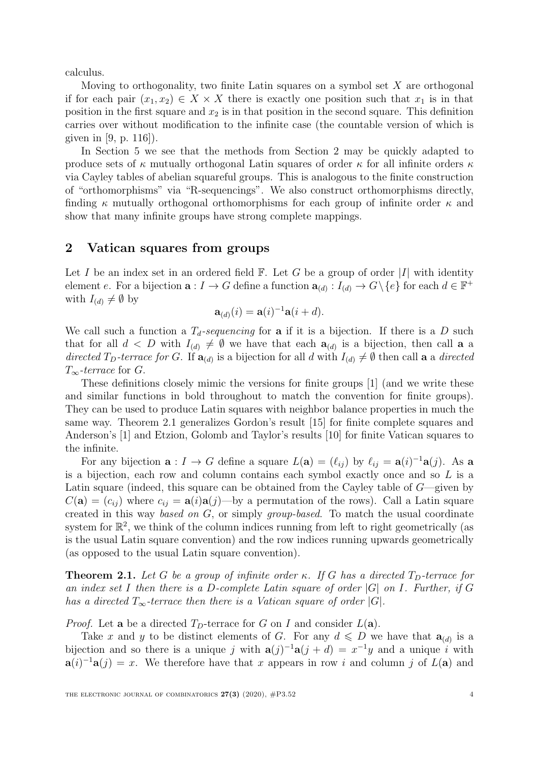calculus.

Moving to orthogonality, two finite Latin squares on a symbol set  $X$  are orthogonal if for each pair  $(x_1, x_2) \in X \times X$  there is exactly one position such that  $x_1$  is in that position in the first square and  $x_2$  is in that position in the second square. This definition carries over without modification to the infinite case (the countable version of which is given in [\[9,](#page-20-4) p. 116]).

In Section [5](#page-14-0) we see that the methods from Section [2](#page-3-0) may be quickly adapted to produce sets of  $\kappa$  mutually orthogonal Latin squares of order  $\kappa$  for all infinite orders  $\kappa$ via Cayley tables of abelian squareful groups. This is analogous to the finite construction of "orthomorphisms" via "R-sequencings". We also construct orthomorphisms directly, finding  $\kappa$  mutually orthogonal orthomorphisms for each group of infinite order  $\kappa$  and show that many infinite groups have strong complete mappings.

#### <span id="page-3-0"></span>2 Vatican squares from groups

Let I be an index set in an ordered field  $\mathbb{F}$ . Let G be a group of order |I| with identity element e. For a bijection  $\mathbf{a}: I \to G$  define a function  $\mathbf{a}_{(d)}: I_{(d)} \to G \setminus \{e\}$  for each  $d \in \mathbb{F}^+$ with  $I_{(d)} \neq \emptyset$  by

$$
\mathbf{a}_{(d)}(i) = \mathbf{a}(i)^{-1}\mathbf{a}(i+d).
$$

We call such a function a  $T<sub>d</sub>$ -sequencing for **a** if it is a bijection. If there is a D such that for all  $d < D$  with  $I_{(d)} \neq \emptyset$  we have that each  $\mathbf{a}_{(d)}$  is a bijection, then call **a** a directed T<sub>D</sub>-terrace for G. If  $\mathbf{a}_{(d)}$  is a bijection for all d with  $I_{(d)} \neq \emptyset$  then call a a directed  $T_{\infty}$ -terrace for G.

These definitions closely mimic the versions for finite groups [\[1\]](#page-20-0) (and we write these and similar functions in bold throughout to match the convention for finite groups). They can be used to produce Latin squares with neighbor balance properties in much the same way. Theorem [2.1](#page-3-1) generalizes Gordon's result [\[15\]](#page-21-1) for finite complete squares and Anderson's [\[1\]](#page-20-0) and Etzion, Golomb and Taylor's results [\[10\]](#page-20-5) for finite Vatican squares to the infinite.

For any bijection  $\mathbf{a}: I \to G$  define a square  $L(\mathbf{a}) = (\ell_{ij})$  by  $\ell_{ij} = \mathbf{a}(i)^{-1}\mathbf{a}(j)$ . As a is a bijection, each row and column contains each symbol exactly once and so L is a Latin square (indeed, this square can be obtained from the Cayley table of  $G$ —given by  $C(\mathbf{a}) = (c_{ij})$  where  $c_{ij} = \mathbf{a}(i)\mathbf{a}(j)$ —by a permutation of the rows). Call a Latin square created in this way based on G, or simply group-based. To match the usual coordinate system for  $\mathbb{R}^2$ , we think of the column indices running from left to right geometrically (as is the usual Latin square convention) and the row indices running upwards geometrically (as opposed to the usual Latin square convention).

<span id="page-3-1"></span>**Theorem 2.1.** Let G be a group of infinite order κ. If G has a directed  $T_D$ -terrace for an index set I then there is a D-complete Latin square of order  $|G|$  on I. Further, if G has a directed  $T_{\infty}$ -terrace then there is a Vatican square of order |G|.

*Proof.* Let **a** be a directed  $T<sub>D</sub>$ -terrace for G on I and consider  $L(\mathbf{a})$ .

Take x and y to be distinct elements of G. For any  $d \leq D$  we have that  $\mathbf{a}_{(d)}$  is a bijection and so there is a unique j with  $a(j)^{-1}a(j + d) = x^{-1}y$  and a unique i with  $\mathbf{a}(i)^{-1}\mathbf{a}(j) = x$ . We therefore have that x appears in row i and column j of  $L(\mathbf{a})$  and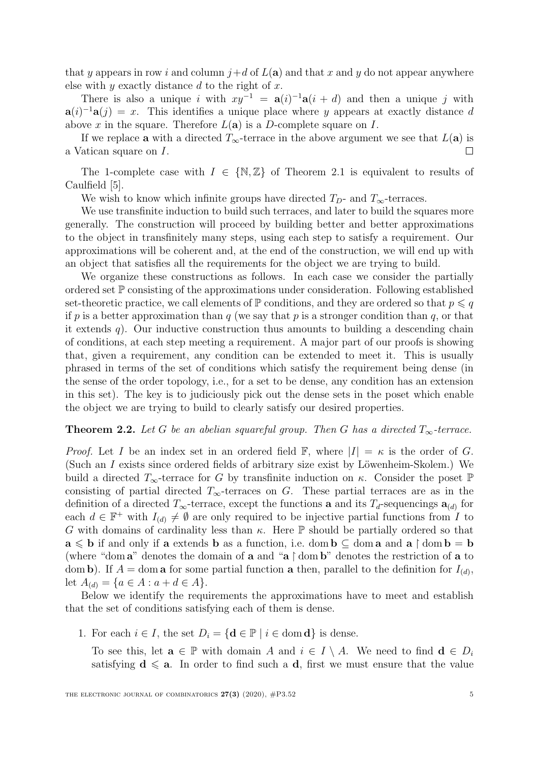that y appears in row i and column  $j+d$  of  $L(\mathbf{a})$  and that x and y do not appear anywhere else with  $y$  exactly distance  $d$  to the right of  $x$ .

There is also a unique i with  $xy^{-1} = a(i)^{-1}a(i + d)$  and then a unique j with  $a(i)^{-1}a(j) = x$ . This identifies a unique place where y appears at exactly distance d above x in the square. Therefore  $L(\mathbf{a})$  is a D-complete square on I.

If we replace **a** with a directed  $T_{\infty}$ -terrace in the above argument we see that  $L(\mathbf{a})$  is a Vatican square on I.  $\Box$ 

The 1-complete case with  $I \in \{N, \mathbb{Z}\}\$  of Theorem [2.1](#page-3-1) is equivalent to results of Caulfield [\[5\]](#page-20-3).

We wish to know which infinite groups have directed  $T_D$ - and  $T_\infty$ -terraces.

We use transfinite induction to build such terraces, and later to build the squares more generally. The construction will proceed by building better and better approximations to the object in transfinitely many steps, using each step to satisfy a requirement. Our approximations will be coherent and, at the end of the construction, we will end up with an object that satisfies all the requirements for the object we are trying to build.

We organize these constructions as follows. In each case we consider the partially ordered set P consisting of the approximations under consideration. Following established set-theoretic practice, we call elements of  $\mathbb P$  conditions, and they are ordered so that  $p \leq q$ if p is a better approximation than q (we say that p is a stronger condition than q, or that it extends  $q$ ). Our inductive construction thus amounts to building a descending chain of conditions, at each step meeting a requirement. A major part of our proofs is showing that, given a requirement, any condition can be extended to meet it. This is usually phrased in terms of the set of conditions which satisfy the requirement being dense (in the sense of the order topology, i.e., for a set to be dense, any condition has an extension in this set). The key is to judiciously pick out the dense sets in the poset which enable the object we are trying to build to clearly satisfy our desired properties.

#### <span id="page-4-1"></span>**Theorem 2.2.** Let G be an abelian squareful group. Then G has a directed  $T_{\infty}$ -terrace.

*Proof.* Let I be an index set in an ordered field F, where  $|I| = \kappa$  is the order of G. (Such an  $I$  exists since ordered fields of arbitrary size exist by Löwenheim-Skolem.) We build a directed  $T_{\infty}$ -terrace for G by transfinite induction on κ. Consider the poset  $\mathbb{P}$ consisting of partial directed  $T_{\infty}$ -terraces on G. These partial terraces are as in the definition of a directed  $T_{\infty}$ -terrace, except the functions **a** and its  $T_d$ -sequencings  $\mathbf{a}_{(d)}$  for each  $d \in \mathbb{F}^+$  with  $I_{(d)} \neq \emptyset$  are only required to be injective partial functions from I to G with domains of cardinality less than  $\kappa$ . Here  $\mathbb P$  should be partially ordered so that  $\mathbf{a} \leqslant \mathbf{b}$  if and only if  $\mathbf{a}$  extends  $\mathbf{b}$  as a function, i.e. dom  $\mathbf{b} \subseteq \text{dom } \mathbf{a}$  and  $\mathbf{a} \restriction \text{dom } \mathbf{b} = \mathbf{b}$ (where "dom a" denotes the domain of a and "a  $\uparrow$  dom b" denotes the restriction of a to dom b). If  $A =$  dom a for some partial function a then, parallel to the definition for  $I_{(d)}$ , let  $A_{(d)} = \{a \in A : a + d \in A\}.$ 

Below we identify the requirements the approximations have to meet and establish that the set of conditions satisfying each of them is dense.

<span id="page-4-0"></span>1. For each  $i \in I$ , the set  $D_i = \{ \mathbf{d} \in \mathbb{P} \mid i \in \text{dom } \mathbf{d} \}$  is dense.

To see this, let  $\mathbf{a} \in \mathbb{P}$  with domain A and  $i \in I \setminus A$ . We need to find  $\mathbf{d} \in D_i$ satisfying  $d \le a$ . In order to find such a d, first we must ensure that the value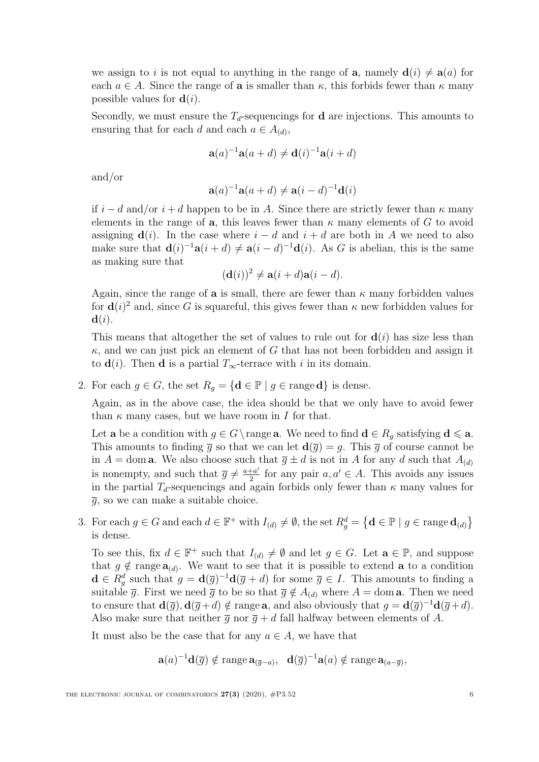we assign to i is not equal to anything in the range of **a**, namely  $d(i) \neq a(a)$  for each  $a \in A$ . Since the range of **a** is smaller than  $\kappa$ , this forbids fewer than  $\kappa$  many possible values for  $\mathbf{d}(i)$ .

Secondly, we must ensure the  $T<sub>d</sub>$ -sequencings for **d** are injections. This amounts to ensuring that for each d and each  $a \in A_{(d)}$ ,

$$
\mathbf{a}(a)^{-1}\mathbf{a}(a+d) \neq \mathbf{d}(i)^{-1}\mathbf{a}(i+d)
$$

and/or

$$
\mathbf{a}(a)^{-1}\mathbf{a}(a+d) \neq \mathbf{a}(i-d)^{-1}\mathbf{d}(i)
$$

if  $i - d$  and/or  $i + d$  happen to be in A. Since there are strictly fewer than  $\kappa$  many elements in the range of a, this leaves fewer than  $\kappa$  many elements of G to avoid assigning  $\mathbf{d}(i)$ . In the case where  $i - d$  and  $i + d$  are both in A we need to also make sure that  $\mathbf{d}(i)^{-1}\mathbf{a}(i+d) \neq \mathbf{a}(i-d)^{-1}\mathbf{d}(i)$ . As G is abelian, this is the same as making sure that

$$
(\mathbf{d}(i))^2 \neq \mathbf{a}(i+d)\mathbf{a}(i-d).
$$

Again, since the range of **a** is small, there are fewer than  $\kappa$  many forbidden values for  $\mathbf{d}(i)^2$  and, since G is squareful, this gives fewer than  $\kappa$  new forbidden values for  $\mathbf{d}(i)$ .

This means that altogether the set of values to rule out for  $\mathbf{d}(i)$  has size less than  $\kappa$ , and we can just pick an element of G that has not been forbidden and assign it to  $\mathbf{d}(i)$ . Then **d** is a partial  $T_{\infty}$ -terrace with i in its domain.

2. For each  $g \in G$ , the set  $R_q = \{ \mathbf{d} \in \mathbb{P} \mid g \in \text{range } \mathbf{d} \}$  is dense.

Again, as in the above case, the idea should be that we only have to avoid fewer than  $\kappa$  many cases, but we have room in I for that.

Let **a** be a condition with  $g \in G \setminus \text{range } \mathbf{a}$ . We need to find  $\mathbf{d} \in R_g$  satisfying  $\mathbf{d} \leq \mathbf{a}$ . This amounts to finding  $\bar{g}$  so that we can let  $d(\bar{g}) = g$ . This  $\bar{g}$  of course cannot be in  $A =$ dom **a**. We also choose such that  $\overline{g} \pm d$  is not in A for any d such that  $A_{(d)}$ is nonempty, and such that  $\overline{g} \neq \frac{a+a'}{2}$  $\frac{+a'}{2}$  for any pair  $a, a' \in A$ . This avoids any issues in the partial  $T<sub>d</sub>$ -sequencings and again forbids only fewer than  $\kappa$  many values for  $\overline{q}$ , so we can make a suitable choice.

3. For each  $g \in G$  and each  $d \in \mathbb{F}^+$  with  $I_{(d)} \neq \emptyset$ , the set  $R_g^d = \{ d \in \mathbb{P} \mid g \in \text{range } d_{(d)} \}$ is dense.

To see this, fix  $d \in \mathbb{F}^+$  such that  $I_{(d)} \neq \emptyset$  and let  $g \in G$ . Let  $\mathbf{a} \in \mathbb{P}$ , and suppose that  $g \notin \text{range } \mathbf{a}_{(d)}$ . We want to see that it is possible to extend **a** to a condition  $\mathbf{d} \in R_g^d$  such that  $g = \mathbf{d}(\overline{g})^{-1} \mathbf{d}(\overline{g} + d)$  for some  $\overline{g} \in I$ . This amounts to finding a suitable  $\overline{g}$ . First we need  $\overline{g}$  to be so that  $\overline{g} \notin A_{(d)}$  where  $A =$  dom **a**. Then we need to ensure that  $\mathbf{d}(\overline{g}), \mathbf{d}(\overline{g}+d) \notin \text{range } \mathbf{a}$ , and also obviously that  $g = \mathbf{d}(\overline{g})^{-1} \mathbf{d}(\overline{g}+d)$ . Also make sure that neither  $\overline{q}$  nor  $\overline{q}$  + d fall halfway between elements of A.

It must also be the case that for any  $a \in A$ , we have that

$$
\mathbf{a}(a)^{-1}\mathbf{d}(\overline{g}) \notin \operatorname{range} \mathbf{a}_{(\overline{g}-a)}, \quad \mathbf{d}(\overline{g})^{-1}\mathbf{a}(a) \notin \operatorname{range} \mathbf{a}_{(a-\overline{g})},
$$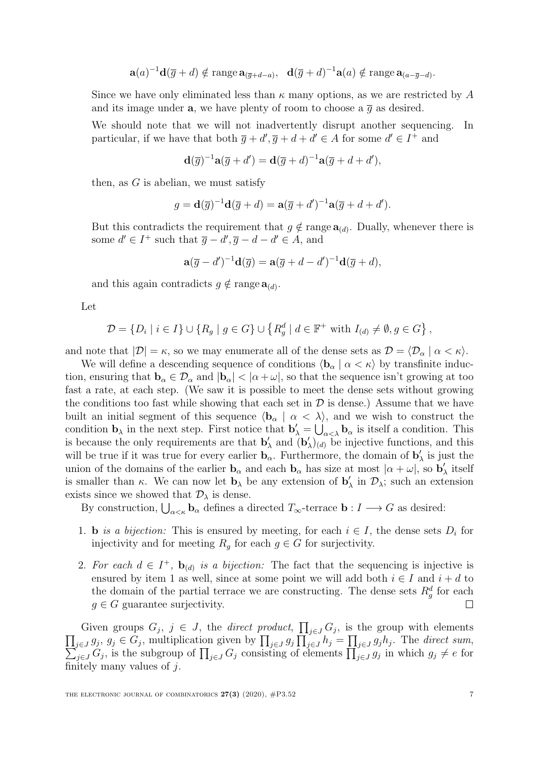$$
\mathbf{a}(a)^{-1}\mathbf{d}(\overline{g}+d) \notin \operatorname{range} \mathbf{a}_{(\overline{g}+d-a)}, \quad \mathbf{d}(\overline{g}+d)^{-1}\mathbf{a}(a) \notin \operatorname{range} \mathbf{a}_{(a-\overline{g}-d)}.
$$

Since we have only eliminated less than  $\kappa$  many options, as we are restricted by A and its image under **a**, we have plenty of room to choose a  $\overline{q}$  as desired.

We should note that we will not inadvertently disrupt another sequencing. In particular, if we have that both  $\overline{g} + d', \overline{g} + d + d' \in A$  for some  $d' \in I^+$  and

$$
\mathbf{d}(\overline{g})^{-1}\mathbf{a}(\overline{g}+d') = \mathbf{d}(\overline{g}+d)^{-1}\mathbf{a}(\overline{g}+d+d'),
$$

then, as  $G$  is abelian, we must satisfy

$$
g = \mathbf{d}(\overline{g})^{-1} \mathbf{d}(\overline{g} + d) = \mathbf{a}(\overline{g} + d')^{-1} \mathbf{a}(\overline{g} + d + d').
$$

But this contradicts the requirement that  $g \notin \text{range } \mathbf{a}_{(d)}$ . Dually, whenever there is some  $d' \in I^+$  such that  $\overline{g} - d', \overline{g} - d - d' \in A$ , and

$$
\mathbf{a}(\overline{g}-d')^{-1}\mathbf{d}(\overline{g})=\mathbf{a}(\overline{g}+d-d')^{-1}\mathbf{d}(\overline{g}+d),
$$

and this again contradicts  $g \notin \text{range } \mathbf{a}_{(d)}$ .

Let

$$
\mathcal{D} = \{D_i \mid i \in I\} \cup \{R_g \mid g \in G\} \cup \{R_g^d \mid d \in \mathbb{F}^+ \text{ with } I_{(d)} \neq \emptyset, g \in G\},\
$$

and note that  $|\mathcal{D}| = \kappa$ , so we may enumerate all of the dense sets as  $\mathcal{D} = \langle \mathcal{D}_{\alpha} | \alpha \langle \kappa \rangle$ .

We will define a descending sequence of conditions  $\langle \mathbf{b}_{\alpha} | \alpha \langle \kappa \rangle$  by transfinite induction, ensuring that  $\mathbf{b}_{\alpha} \in \mathcal{D}_{\alpha}$  and  $|\mathbf{b}_{\alpha}| < |\alpha + \omega|$ , so that the sequence isn't growing at too fast a rate, at each step. (We saw it is possible to meet the dense sets without growing the conditions too fast while showing that each set in  $\mathcal D$  is dense.) Assume that we have built an initial segment of this sequence  $\langle \mathbf{b}_{\alpha} | \alpha \langle \lambda \rangle$ , and we wish to construct the condition  $\mathbf{b}_{\lambda}$  in the next step. First notice that  $\mathbf{b}'_{\lambda} = \bigcup_{\alpha < \lambda} \mathbf{b}_{\alpha}$  is itself a condition. This is because the only requirements are that  $\mathbf{b}'$  $\lambda'$  and  $\mathbf{b}'$  $\langle \rangle_{(d)}$  be injective functions, and this will be true if it was true for every earlier  $\mathbf{b}_{\alpha}$ . Furthermore, the domain of  $\mathbf{b}'$  $\chi'$  is just the union of the domains of the earlier  $\mathbf{b}_{\alpha}$  and each  $\mathbf{b}_{\alpha}$  has size at most  $|\alpha + \omega|$ , so  $\mathbf{b}'$  $\chi'$  itself is smaller than  $\kappa$ . We can now let  $\mathbf{b}_{\lambda}$  be any extension of  $\mathbf{b}'$  $\chi'$  in  $\mathcal{D}_{\lambda}$ ; such an extension exists since we showed that  $\mathcal{D}_{\lambda}$  is dense.

By construction,  $\bigcup_{\alpha<\kappa}$  **b**<sub> $\alpha$ </sub> defines a directed  $T_{\infty}$ -terrace **b** :  $I \longrightarrow G$  as desired:

- 1. **b** is a bijection: This is ensured by meeting, for each  $i \in I$ , the dense sets  $D_i$  for injectivity and for meeting  $R_q$  for each  $g \in G$  for surjectivity.
- 2. For each  $d \in I^+$ ,  $\mathbf{b}_{(d)}$  is a bijection: The fact that the sequencing is injective is ensured by item [1](#page-4-0) as well, since at some point we will add both  $i \in I$  and  $i + d$  to the domain of the partial terrace we are constructing. The dense sets  $R_g^d$  for each  $g \in G$  guarantee surjectivity.  $\Box$

Given groups  $G_j$ ,  $j \in J$ , the *direct product*,  $\prod_{j\in J} G_j$ , is the group with elements  $\prod_{j\in J} g_j, g_j \in G_j$ , multiplication given by  $\prod_{j\in J} g_j \prod_{j\in J} h_j = \prod_{j\in J} g_j h_j$ . The direct sum,  $\sum_{j\in J} G_j$ , is the subgroup of  $\prod_{j\in J} G_j$  consisting of elements  $\prod_{j\in J} g_j$  in which  $g_j \neq e$  for finitely many values of  $j$ .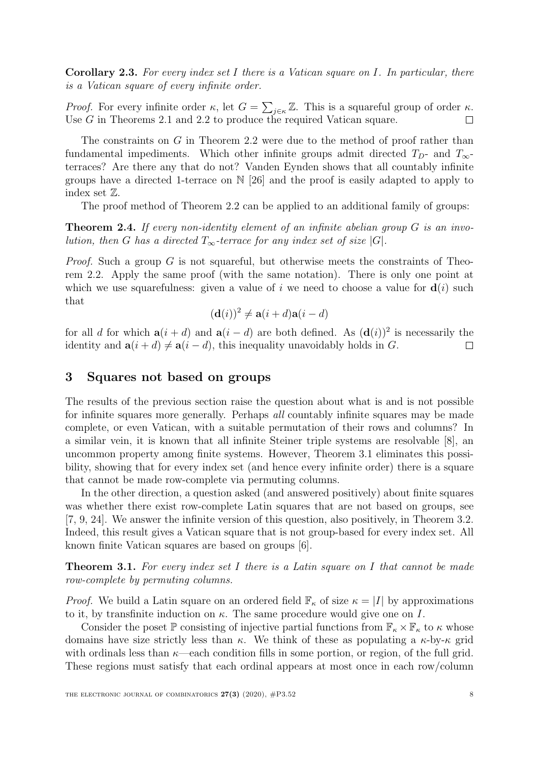**Corollary 2.3.** For every index set I there is a Vatican square on I. In particular, there is a Vatican square of every infinite order.

*Proof.* For every infinite order  $\kappa$ , let  $G = \sum_{j \in \kappa} \mathbb{Z}$ . This is a squareful group of order  $\kappa$ . Use G in Theorems [2.1](#page-3-1) and [2.2](#page-4-1) to produce the required Vatican square.  $\Box$ 

The constraints on G in Theorem [2.2](#page-4-1) were due to the method of proof rather than fundamental impediments. Which other infinite groups admit directed  $T_{D}$ - and  $T_{\infty}$ terraces? Are there any that do not? Vanden Eynden shows that all countably infinite groups have a directed 1-terrace on  $N$  [\[26\]](#page-21-5) and the proof is easily adapted to apply to index set Z.

The proof method of Theorem [2.2](#page-4-1) can be applied to an additional family of groups:

**Theorem 2.4.** If every non-identity element of an infinite abelian group  $G$  is an involution, then G has a directed  $T_{\infty}$ -terrace for any index set of size |G|.

*Proof.* Such a group  $G$  is not squareful, but otherwise meets the constraints of Theorem [2.2.](#page-4-1) Apply the same proof (with the same notation). There is only one point at which we use squarefulness: given a value of i we need to choose a value for  $\mathbf{d}(i)$  such that

$$
(\mathbf{d}(i))^2 \neq \mathbf{a}(i+d)\mathbf{a}(i-d)
$$

for all d for which  $a(i + d)$  and  $a(i - d)$  are both defined. As  $(d(i))^2$  is necessarily the identity and  $\mathbf{a}(i + d) \neq \mathbf{a}(i - d)$ , this inequality unavoidably holds in G.  $\Box$ 

#### <span id="page-7-0"></span>3 Squares not based on groups

The results of the previous section raise the question about what is and is not possible for infinite squares more generally. Perhaps all countably infinite squares may be made complete, or even Vatican, with a suitable permutation of their rows and columns? In a similar vein, it is known that all infinite Steiner triple systems are resolvable [\[8\]](#page-20-6), an uncommon property among finite systems. However, Theorem [3.1](#page-7-1) eliminates this possibility, showing that for every index set (and hence every infinite order) there is a square that cannot be made row-complete via permuting columns.

In the other direction, a question asked (and answered positively) about finite squares was whether there exist row-complete Latin squares that are not based on groups, see [\[7,](#page-20-7) [9,](#page-20-4) [24\]](#page-21-6). We answer the infinite version of this question, also positively, in Theorem [3.2.](#page-10-0) Indeed, this result gives a Vatican square that is not group-based for every index set. All known finite Vatican squares are based on groups [\[6\]](#page-20-1).

<span id="page-7-1"></span>**Theorem 3.1.** For every index set I there is a Latin square on I that cannot be made row-complete by permuting columns.

*Proof.* We build a Latin square on an ordered field  $\mathbb{F}_{\kappa}$  of size  $\kappa = |I|$  by approximations to it, by transfinite induction on  $\kappa$ . The same procedure would give one on I.

Consider the poset P consisting of injective partial functions from  $\mathbb{F}_{\kappa} \times \mathbb{F}_{\kappa}$  to  $\kappa$  whose domains have size strictly less than  $\kappa$ . We think of these as populating a  $\kappa$ -by- $\kappa$  grid with ordinals less than  $\kappa$ —each condition fills in some portion, or region, of the full grid. These regions must satisfy that each ordinal appears at most once in each row/column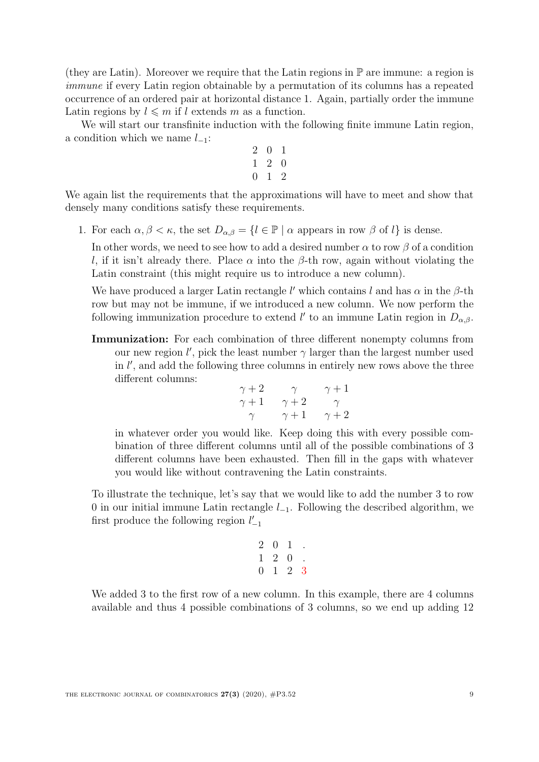(they are Latin). Moreover we require that the Latin regions in  $\mathbb P$  are immune: a region is immune if every Latin region obtainable by a permutation of its columns has a repeated occurrence of an ordered pair at horizontal distance 1. Again, partially order the immune Latin regions by  $l \leq m$  if l extends m as a function.

We will start our transfinite induction with the following finite immune Latin region, a condition which we name  $l_{-1}$ :

$$
\begin{array}{ccc} 2 & 0 & 1 \\ 1 & 2 & 0 \\ 0 & 1 & 2 \end{array}
$$

We again list the requirements that the approximations will have to meet and show that densely many conditions satisfy these requirements.

1. For each  $\alpha, \beta < \kappa$ , the set  $D_{\alpha,\beta} = \{l \in \mathbb{P} \mid \alpha \text{ appears in row } \beta \text{ of } l\}$  is dense.

In other words, we need to see how to add a desired number  $\alpha$  to row  $\beta$  of a condition l, if it isn't already there. Place  $\alpha$  into the  $\beta$ -th row, again without violating the Latin constraint (this might require us to introduce a new column).

We have produced a larger Latin rectangle l' which contains l and has  $\alpha$  in the  $\beta$ -th row but may not be immune, if we introduced a new column. We now perform the following immunization procedure to extend l' to an immune Latin region in  $D_{\alpha,\beta}$ .

Immunization: For each combination of three different nonempty columns from our new region  $l'$ , pick the least number  $\gamma$  larger than the largest number used in  $l'$ , and add the following three columns in entirely new rows above the three different columns:

$$
\begin{array}{cc}\n\gamma+2 & \gamma & \gamma+1 \\
\gamma+1 & \gamma+2 & \gamma \\
\gamma & \gamma+1 & \gamma+2\n\end{array}
$$

in whatever order you would like. Keep doing this with every possible combination of three different columns until all of the possible combinations of 3 different columns have been exhausted. Then fill in the gaps with whatever you would like without contravening the Latin constraints.

To illustrate the technique, let's say that we would like to add the number 3 to row 0 in our initial immune Latin rectangle  $l_{-1}$ . Following the described algorithm, we first produce the following region  $l^{\prime}_{-1}$ 

$$
\begin{array}{ccccc}\n2 & 0 & 1 & . \\
1 & 2 & 0 & . \\
0 & 1 & 2 & 3\n\end{array}
$$

We added 3 to the first row of a new column. In this example, there are 4 columns available and thus 4 possible combinations of 3 columns, so we end up adding 12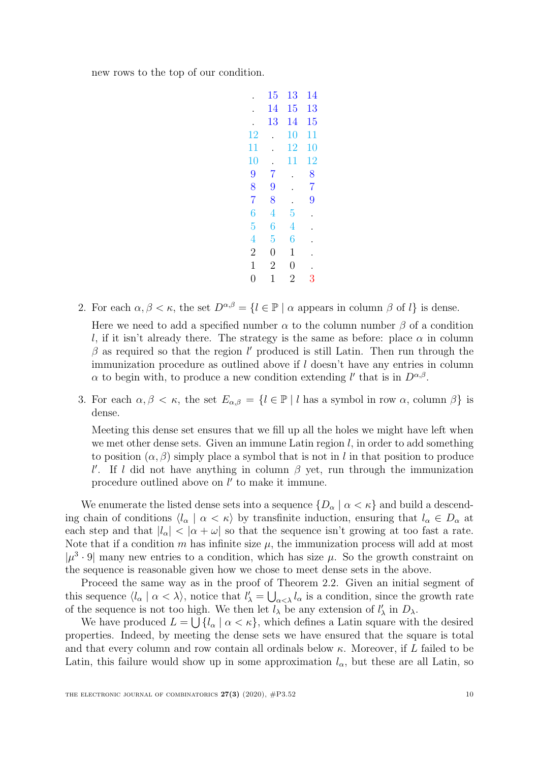new rows to the top of our condition.

|                | 15                   | $13\,$         | $14\,$         |
|----------------|----------------------|----------------|----------------|
|                | 14                   | $15\,$         | 13             |
|                | 13                   | 14             | 15             |
| 12             |                      | $10\,$         | 11             |
| 11             |                      | 12             | 10             |
| 10             | $\ddot{\phantom{0}}$ | $11\,$         | 12             |
| 9              | $\overline{7}$       |                | 8              |
| 8              | 9                    |                | $\overline{7}$ |
| $\overline{7}$ | 8                    |                | 9              |
| $\overline{6}$ | $\overline{4}$       | $\overline{5}$ |                |
| $\overline{5}$ | $\overline{6}$       | $\overline{4}$ |                |
| $\overline{4}$ | $\overline{5}$       | $\overline{6}$ |                |
| $\overline{2}$ | $\overline{0}$       | $\mathbf 1$    |                |
| $\mathbf{1}$   | $\overline{2}$       | $\overline{0}$ |                |
| $\overline{0}$ | 1                    | $\overline{2}$ | 3              |
|                |                      |                |                |

2. For each  $\alpha, \beta < \kappa$ , the set  $D^{\alpha,\beta} = \{l \in \mathbb{P} \mid \alpha \text{ appears in column } \beta \text{ of } l\}$  is dense.

Here we need to add a specified number  $\alpha$  to the column number  $\beta$  of a condition l, if it isn't already there. The strategy is the same as before: place  $\alpha$  in column  $\beta$  as required so that the region l' produced is still Latin. Then run through the immunization procedure as outlined above if  $l$  doesn't have any entries in column  $\alpha$  to begin with, to produce a new condition extending l' that is in  $D^{\alpha,\beta}$ .

3. For each  $\alpha, \beta < \kappa$ , the set  $E_{\alpha,\beta} = \{l \in \mathbb{P} \mid l \text{ has a symbol in row } \alpha \text{, column } \beta \}$  is dense.

Meeting this dense set ensures that we fill up all the holes we might have left when we met other dense sets. Given an immune Latin region  $l$ , in order to add something to position  $(\alpha, \beta)$  simply place a symbol that is not in l in that position to produce l'. If l did not have anything in column  $\beta$  yet, run through the immunization procedure outlined above on  $l'$  to make it immune.

We enumerate the listed dense sets into a sequence  $\{D_{\alpha} \mid \alpha < \kappa\}$  and build a descending chain of conditions  $\langle l_{\alpha} | \alpha \langle \kappa \rangle$  by transfinite induction, ensuring that  $l_{\alpha} \in D_{\alpha}$  at each step and that  $|l_{\alpha}| < |\alpha + \omega|$  so that the sequence isn't growing at too fast a rate. Note that if a condition m has infinite size  $\mu$ , the immunization process will add at most  $|\mu^3 \cdot 9|$  many new entries to a condition, which has size  $\mu$ . So the growth constraint on the sequence is reasonable given how we chose to meet dense sets in the above.

Proceed the same way as in the proof of Theorem [2.2.](#page-4-1) Given an initial segment of this sequence  $\langle l_\alpha | \alpha \langle \lambda \rangle$ , notice that  $l'_\lambda = \bigcup_{\alpha \langle \lambda} l_\alpha$  is a condition, since the growth rate of the sequence is not too high. We then let  $l_{\lambda}$  be any extension of  $l'_{\lambda}$  in  $D_{\lambda}$ .

We have produced  $L = \bigcup \{l_{\alpha} \mid \alpha < \kappa\}$ , which defines a Latin square with the desired properties. Indeed, by meeting the dense sets we have ensured that the square is total and that every column and row contain all ordinals below  $\kappa$ . Moreover, if L failed to be Latin, this failure would show up in some approximation  $l_{\alpha}$ , but these are all Latin, so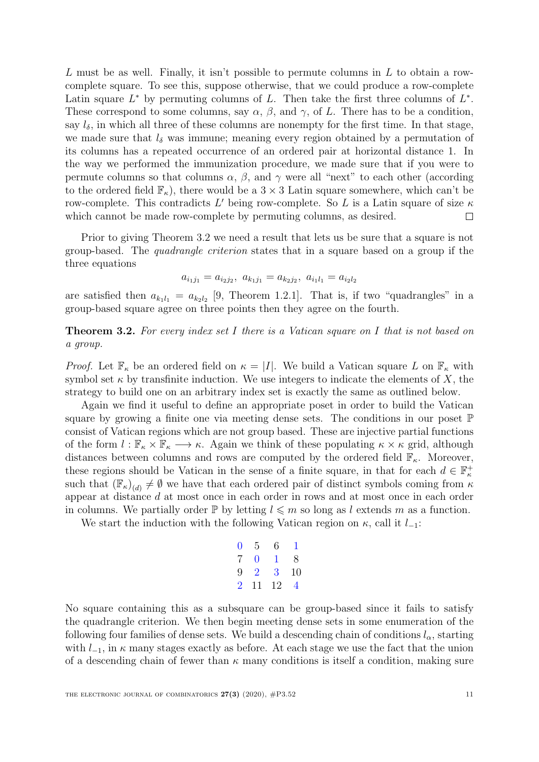L must be as well. Finally, it isn't possible to permute columns in L to obtain a rowcomplete square. To see this, suppose otherwise, that we could produce a row-complete Latin square  $L^*$  by permuting columns of L. Then take the first three columns of  $L^*$ . These correspond to some columns, say  $\alpha$ ,  $\beta$ , and  $\gamma$ , of L. There has to be a condition, say  $l_{\delta}$ , in which all three of these columns are nonempty for the first time. In that stage, we made sure that  $l_{\delta}$  was immune; meaning every region obtained by a permutation of its columns has a repeated occurrence of an ordered pair at horizontal distance 1. In the way we performed the immunization procedure, we made sure that if you were to permute columns so that columns  $\alpha$ ,  $\beta$ , and  $\gamma$  were all "next" to each other (according to the ordered field  $\mathbb{F}_{\kappa}$ , there would be a  $3 \times 3$  Latin square somewhere, which can't be row-complete. This contradicts L' being row-complete. So L is a Latin square of size  $\kappa$ which cannot be made row-complete by permuting columns, as desired.  $\Box$ 

Prior to giving Theorem [3.2](#page-10-0) we need a result that lets us be sure that a square is not group-based. The quadrangle criterion states that in a square based on a group if the three equations

$$
a_{i_1j_1} = a_{i_2j_2}, \ a_{k_1j_1} = a_{k_2j_2}, \ a_{i_1l_1} = a_{i_2l_2}
$$

are satisfied then  $a_{k_1l_1} = a_{k_2l_2}$  [\[9,](#page-20-4) Theorem 1.2.1]. That is, if two "quadrangles" in a group-based square agree on three points then they agree on the fourth.

<span id="page-10-0"></span>**Theorem 3.2.** For every index set I there is a Vatican square on I that is not based on a group.

*Proof.* Let  $\mathbb{F}_{\kappa}$  be an ordered field on  $\kappa = |I|$ . We build a Vatican square L on  $\mathbb{F}_{\kappa}$  with symbol set  $\kappa$  by transfinite induction. We use integers to indicate the elements of X, the strategy to build one on an arbitrary index set is exactly the same as outlined below.

Again we find it useful to define an appropriate poset in order to build the Vatican square by growing a finite one via meeting dense sets. The conditions in our poset  $\mathbb P$ consist of Vatican regions which are not group based. These are injective partial functions of the form  $l : \mathbb{F}_{\kappa} \times \mathbb{F}_{\kappa} \longrightarrow \kappa$ . Again we think of these populating  $\kappa \times \kappa$  grid, although distances between columns and rows are computed by the ordered field  $\mathbb{F}_{\kappa}$ . Moreover, these regions should be Vatican in the sense of a finite square, in that for each  $d \in \mathbb{F}_{\kappa}^+$ such that  $(\mathbb{F}_{\kappa})_{(d)} \neq \emptyset$  we have that each ordered pair of distinct symbols coming from  $\kappa$ appear at distance d at most once in each order in rows and at most once in each order in columns. We partially order  $\mathbb{P}$  by letting  $l \leq m$  so long as l extends m as a function.

We start the induction with the following Vatican region on  $\kappa$ , call it  $l_{-1}$ :

$$
\begin{array}{cccc}\n0 & 5 & 6 & 1 \\
7 & 0 & 1 & 8 \\
9 & 2 & 3 & 10 \\
2 & 11 & 12 & 4\n\end{array}
$$

No square containing this as a subsquare can be group-based since it fails to satisfy the quadrangle criterion. We then begin meeting dense sets in some enumeration of the following four families of dense sets. We build a descending chain of conditions  $l_{\alpha}$ , starting with  $l_{-1}$ , in  $\kappa$  many stages exactly as before. At each stage we use the fact that the union of a descending chain of fewer than  $\kappa$  many conditions is itself a condition, making sure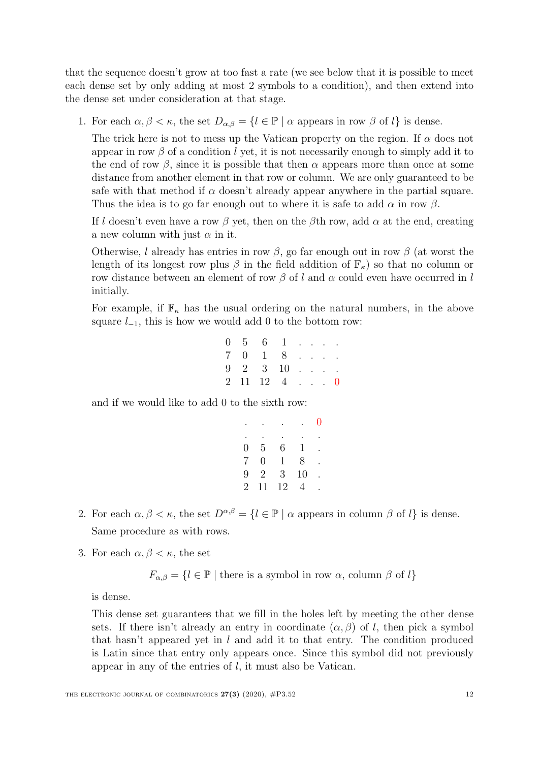that the sequence doesn't grow at too fast a rate (we see below that it is possible to meet each dense set by only adding at most 2 symbols to a condition), and then extend into the dense set under consideration at that stage.

1. For each  $\alpha, \beta < \kappa$ , the set  $D_{\alpha,\beta} = \{l \in \mathbb{P} \mid \alpha \text{ appears in row } \beta \text{ of } l\}$  is dense.

The trick here is not to mess up the Vatican property on the region. If  $\alpha$  does not appear in row  $\beta$  of a condition l yet, it is not necessarily enough to simply add it to the end of row  $\beta$ , since it is possible that then  $\alpha$  appears more than once at some distance from another element in that row or column. We are only guaranteed to be safe with that method if  $\alpha$  doesn't already appear anywhere in the partial square. Thus the idea is to go far enough out to where it is safe to add  $\alpha$  in row  $\beta$ .

If l doesn't even have a row  $\beta$  yet, then on the  $\beta$ th row, add  $\alpha$  at the end, creating a new column with just  $\alpha$  in it.

Otherwise, l already has entries in row  $\beta$ , go far enough out in row  $\beta$  (at worst the length of its longest row plus  $\beta$  in the field addition of  $\mathbb{F}_{\kappa}$  so that no column or row distance between an element of row  $\beta$  of l and  $\alpha$  could even have occurred in l initially.

For example, if  $\mathbb{F}_{\kappa}$  has the usual ordering on the natural numbers, in the above square  $l_{-1}$ , this is how we would add 0 to the bottom row:

|  | $0 \quad 5 \quad 6 \quad 1 \quad . \quad . \quad .$  |  |  |  |
|--|------------------------------------------------------|--|--|--|
|  | $7 \t0 \t1 \t8 \t$                                   |  |  |  |
|  | $9 \quad 2 \quad 3 \quad 10 \quad . \quad . \quad .$ |  |  |  |
|  | $2 \t11 \t12 \t4 \t \t0$                             |  |  |  |

and if we would like to add 0 to the sixth row:

|                |                |    |    | U |
|----------------|----------------|----|----|---|
|                |                |    |    |   |
| 0              | 5              | 6  | 1  |   |
| $\overline{7}$ | 0              | 1  | 8  |   |
| 9              | $\overline{2}$ | 3  | 10 |   |
| $\overline{2}$ | 11             | 12 | 4  |   |

- 2. For each  $\alpha, \beta < \kappa$ , the set  $D^{\alpha,\beta} = \{l \in \mathbb{P} \mid \alpha \text{ appears in column } \beta \text{ of } l\}$  is dense. Same procedure as with rows.
- 3. For each  $\alpha, \beta < \kappa$ , the set

 $F_{\alpha,\beta} = \{l \in \mathbb{P} \mid \text{there is a symbol in row } \alpha, \text{ column } \beta \text{ of } l\}$ 

is dense.

This dense set guarantees that we fill in the holes left by meeting the other dense sets. If there isn't already an entry in coordinate  $(\alpha, \beta)$  of l, then pick a symbol that hasn't appeared yet in  $l$  and add it to that entry. The condition produced is Latin since that entry only appears once. Since this symbol did not previously appear in any of the entries of l, it must also be Vatican.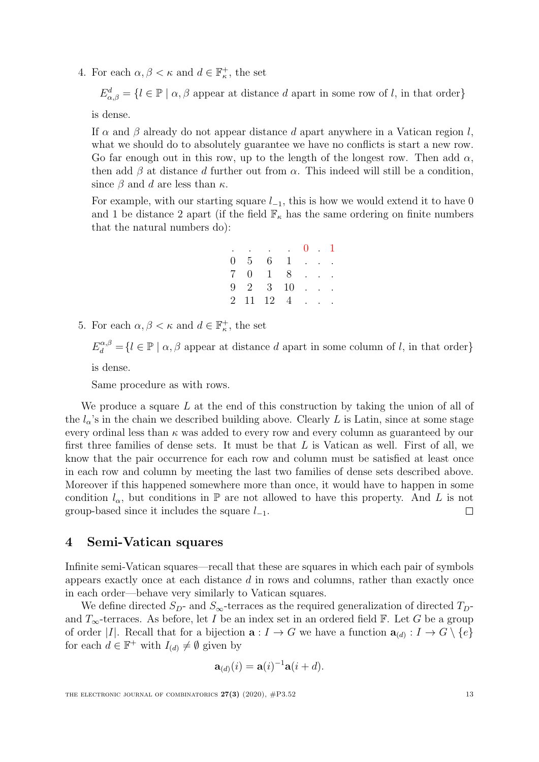4. For each  $\alpha, \beta < \kappa$  and  $d \in \mathbb{F}^+_{\kappa}$ , the set

 $E_{\alpha,\beta}^{d} = \{l \in \mathbb{P} \mid \alpha, \beta \text{ appear at distance } d \text{ apart in some row of } l \text{, in that order}\}\$ 

is dense.

If  $\alpha$  and  $\beta$  already do not appear distance d apart anywhere in a Vatican region l, what we should do to absolutely guarantee we have no conflicts is start a new row. Go far enough out in this row, up to the length of the longest row. Then add  $\alpha$ , then add  $\beta$  at distance d further out from  $\alpha$ . This indeed will still be a condition, since  $\beta$  and d are less than  $\kappa$ .

For example, with our starting square  $l_{-1}$ , this is how we would extend it to have 0 and 1 be distance 2 apart (if the field  $\mathbb{F}_\kappa$  has the same ordering on finite numbers that the natural numbers do):

|  | $\cdots$ $\cdots$ $\cdots$ $\cdots$ $\cdots$ $\cdots$ $\cdots$ $\cdots$ $\cdots$ $\cdots$ $\cdots$ $\cdots$ $\cdots$ $\cdots$ $\cdots$ $\cdots$ $\cdots$ $\cdots$ $\cdots$ $\cdots$ $\cdots$ $\cdots$ $\cdots$ $\cdots$ $\cdots$ $\cdots$ $\cdots$ $\cdots$ $\cdots$ $\cdots$ $\cdots$ $\cdots$ $\cdots$ $\cdots$ $\cdots$ $\cdots$ $\cdots$ |  |  |
|--|----------------------------------------------------------------------------------------------------------------------------------------------------------------------------------------------------------------------------------------------------------------------------------------------------------------------------------------------|--|--|
|  | $0 \quad 5 \quad 6 \quad 1 \quad . \quad .$                                                                                                                                                                                                                                                                                                  |  |  |
|  | $7 \t0 \t1 \t8 \t$                                                                                                                                                                                                                                                                                                                           |  |  |
|  | $9 \t2 \t3 \t10 \t$                                                                                                                                                                                                                                                                                                                          |  |  |
|  | $2 \t11 \t12 \t4 \t$                                                                                                                                                                                                                                                                                                                         |  |  |

5. For each  $\alpha, \beta < \kappa$  and  $d \in \mathbb{F}^+_{\kappa}$ , the set

 $E_d^{\alpha,\beta} = \{l \in \mathbb{P} \mid \alpha, \beta \text{ appear at distance } d \text{ apart in some column of } l \text{, in that order}\}\$ 

is dense.

Same procedure as with rows.

We produce a square  $L$  at the end of this construction by taking the union of all of the  $l_{\alpha}$ 's in the chain we described building above. Clearly L is Latin, since at some stage every ordinal less than  $\kappa$  was added to every row and every column as guaranteed by our first three families of dense sets. It must be that  $L$  is Vatican as well. First of all, we know that the pair occurrence for each row and column must be satisfied at least once in each row and column by meeting the last two families of dense sets described above. Moreover if this happened somewhere more than once, it would have to happen in some condition  $l_{\alpha}$ , but conditions in  $\mathbb P$  are not allowed to have this property. And L is not group-based since it includes the square  $l_{-1}$ .  $\Box$ 

#### <span id="page-12-0"></span>4 Semi-Vatican squares

Infinite semi-Vatican squares—recall that these are squares in which each pair of symbols appears exactly once at each distance d in rows and columns, rather than exactly once in each order—behave very similarly to Vatican squares.

We define directed  $S_D$ - and  $S_{\infty}$ -terraces as the required generalization of directed  $T_D$ and  $T_{\infty}$ -terraces. As before, let I be an index set in an ordered field F. Let G be a group of order |I|. Recall that for a bijection  $\mathbf{a}: I \to G$  we have a function  $\mathbf{a}_{(d)}: I \to G \setminus \{e\}$ for each  $d \in \mathbb{F}^+$  with  $I_{(d)} \neq \emptyset$  given by

$$
\mathbf{a}_{(d)}(i) = \mathbf{a}(i)^{-1}\mathbf{a}(i+d).
$$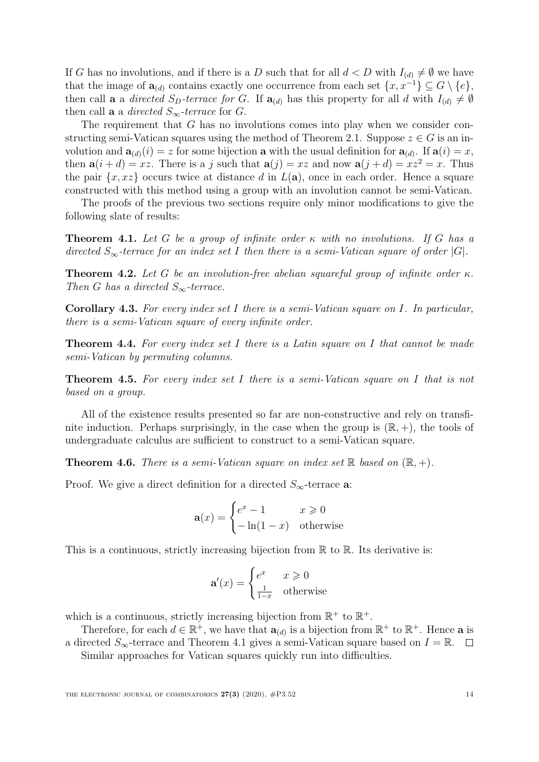If G has no involutions, and if there is a D such that for all  $d < D$  with  $I_{(d)} \neq \emptyset$  we have that the image of  $\mathbf{a}_{(d)}$  contains exactly one occurrence from each set  $\{x, x^{-1}\} \subseteq G \setminus \{e\},\$ then call **a** a directed  $S_D$ -terrace for G. If  $\mathbf{a}_{(d)}$  has this property for all d with  $I_{(d)} \neq \emptyset$ then call **a** a *directed*  $S_{\infty}$ -terrace for G.

The requirement that G has no involutions comes into play when we consider con-structing semi-Vatican squares using the method of Theorem [2.1.](#page-3-1) Suppose  $z \in G$  is an involution and  $\mathbf{a}_{(d)}(i) = z$  for some bijection **a** with the usual definition for  $\mathbf{a}_{(d)}$ . If  $\mathbf{a}(i) = x$ , then  $a(i + d) = xz$ . There is a j such that  $a(j) = xz$  and now  $a(j + d) = xz^2 = x$ . Thus the pair  $\{x, x\}$  occurs twice at distance d in  $L(a)$ , once in each order. Hence a square constructed with this method using a group with an involution cannot be semi-Vatican.

The proofs of the previous two sections require only minor modifications to give the following slate of results:

<span id="page-13-0"></span>**Theorem 4.1.** Let G be a group of infinite order  $\kappa$  with no involutions. If G has a directed  $S_{\infty}$ -terrace for an index set I then there is a semi-Vatican square of order |G|.

**Theorem 4.2.** Let G be an involution-free abelian squareful group of infinite order  $\kappa$ . Then G has a directed  $S_{\infty}$ -terrace.

**Corollary 4.3.** For every index set I there is a semi-Vatican square on I. In particular, there is a semi-Vatican square of every infinite order.

**Theorem 4.4.** For every index set I there is a Latin square on I that cannot be made semi-Vatican by permuting columns.

**Theorem 4.5.** For every index set I there is a semi-Vatican square on I that is not based on a group.

All of the existence results presented so far are non-constructive and rely on transfinite induction. Perhaps surprisingly, in the case when the group is  $(\mathbb{R}, +)$ , the tools of undergraduate calculus are sufficient to construct to a semi-Vatican square.

**Theorem 4.6.** There is a semi-Vatican square on index set  $\mathbb{R}$  based on  $(\mathbb{R}, +)$ .

Proof. We give a direct definition for a directed  $S_{\infty}$ -terrace **a**:

$$
\mathbf{a}(x) = \begin{cases} e^x - 1 & x \geq 0 \\ -\ln(1 - x) & \text{otherwise} \end{cases}
$$

This is a continuous, strictly increasing bijection from  $\mathbb R$  to  $\mathbb R$ . Its derivative is:

$$
\mathbf{a}'(x) = \begin{cases} e^x & x \geq 0\\ \frac{1}{1-x} & \text{otherwise} \end{cases}
$$

which is a continuous, strictly increasing bijection from  $\mathbb{R}^+$  to  $\mathbb{R}^+$ .

Therefore, for each  $d \in \mathbb{R}^+$ , we have that  $\mathbf{a}_{(d)}$  is a bijection from  $\mathbb{R}^+$  to  $\mathbb{R}^+$ . Hence **a** is a directed  $S_{\infty}$ -terrace and Theorem [4.1](#page-13-0) gives a semi-Vatican square based on  $I = \mathbb{R}$ .  $\Box$ 

Similar approaches for Vatican squares quickly run into difficulties.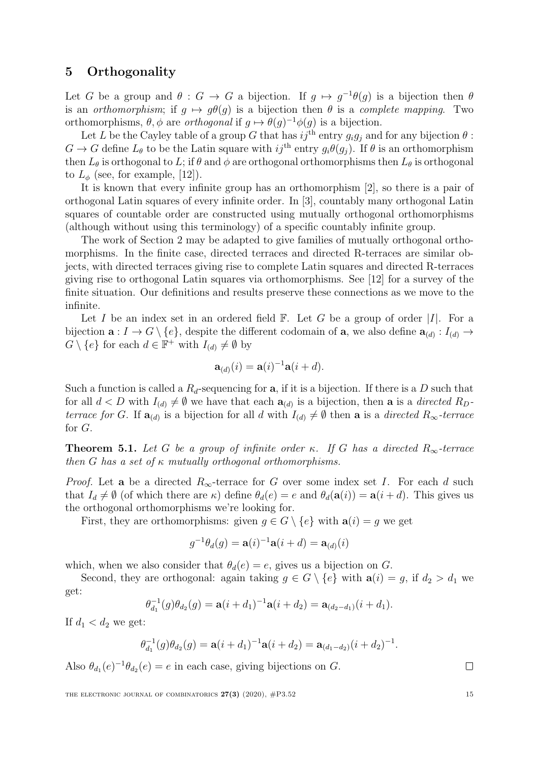### <span id="page-14-0"></span>5 Orthogonality

Let G be a group and  $\theta : G \to G$  a bijection. If  $g \mapsto g^{-1}\theta(g)$  is a bijection then  $\theta$ is an *orthomorphism*; if  $q \mapsto q\theta(q)$  is a bijection then  $\theta$  is a *complete mapping*. Two orthomorphisms,  $\theta$ ,  $\phi$  are *orthogonal* if  $g \mapsto \theta(g)^{-1} \phi(g)$  is a bijection.

Let L be the Cayley table of a group G that has  $i\tilde{j}^{th}$  entry  $g_i g_j$  and for any bijection  $\theta$ :  $G \to G$  define  $L_{\theta}$  to be the Latin square with  $ij^{\text{th}}$  entry  $g_i \theta(g_j)$ . If  $\theta$  is an orthomorphism then  $L_{\theta}$  is orthogonal to L; if  $\theta$  and  $\phi$  are orthogonal orthomorphisms then  $L_{\theta}$  is orthogonal to  $L_{\phi}$  (see, for example, [\[12\]](#page-20-8)).

It is known that every infinite group has an orthomorphism [\[2\]](#page-20-9), so there is a pair of orthogonal Latin squares of every infinite order. In [\[3\]](#page-20-10), countably many orthogonal Latin squares of countable order are constructed using mutually orthogonal orthomorphisms (although without using this terminology) of a specific countably infinite group.

The work of Section [2](#page-3-0) may be adapted to give families of mutually orthogonal orthomorphisms. In the finite case, directed terraces and directed R-terraces are similar objects, with directed terraces giving rise to complete Latin squares and directed R-terraces giving rise to orthogonal Latin squares via orthomorphisms. See [\[12\]](#page-20-8) for a survey of the finite situation. Our definitions and results preserve these connections as we move to the infinite.

Let I be an index set in an ordered field  $\mathbb{F}$ . Let G be a group of order  $|I|$ . For a bijection  $\mathbf{a}: I \to G \setminus \{e\}$ , despite the different codomain of  $\mathbf{a}$ , we also define  $\mathbf{a}_{(d)}: I_{(d)} \to$  $G \setminus \{e\}$  for each  $d \in \mathbb{F}^+$  with  $I_{(d)} \neq \emptyset$  by

$$
\mathbf{a}_{(d)}(i) = \mathbf{a}(i)^{-1}\mathbf{a}(i+d).
$$

Such a function is called a  $R_d$ -sequencing for **a**, if it is a bijection. If there is a D such that for all  $d < D$  with  $I_{(d)} \neq \emptyset$  we have that each  $\mathbf{a}_{(d)}$  is a bijection, then **a** is a *directed*  $R_D$ . terrace for G. If  $\mathbf{a}_{(d)}$  is a bijection for all d with  $I_{(d)} \neq \emptyset$  then **a** is a directed  $R_{\infty}$ -terrace for G.

**Theorem 5.1.** Let G be a group of infinite order κ. If G has a directed  $R_{\infty}$ -terrace then G has a set of  $\kappa$  mutually orthogonal orthomorphisms.

*Proof.* Let a be a directed  $R_{\infty}$ -terrace for G over some index set I. For each d such that  $I_d \neq \emptyset$  (of which there are  $\kappa$ ) define  $\theta_d(e) = e$  and  $\theta_d(\mathbf{a}(i)) = \mathbf{a}(i + d)$ . This gives us the orthogonal orthomorphisms we're looking for.

First, they are orthomorphisms: given  $g \in G \setminus \{e\}$  with  $\mathbf{a}(i) = g$  we get

$$
g^{-1}\theta_d(g) = \mathbf{a}(i)^{-1}\mathbf{a}(i+d) = \mathbf{a}_{(d)}(i)
$$

which, when we also consider that  $\theta_d(e) = e$ , gives us a bijection on G.

Second, they are orthogonal: again taking  $g \in G \setminus \{e\}$  with  $\mathbf{a}(i) = g$ , if  $d_2 > d_1$  we get:

$$
\theta_{d_1}^{-1}(g)\theta_{d_2}(g) = \mathbf{a}(i+d_1)^{-1}\mathbf{a}(i+d_2) = \mathbf{a}_{(d_2-d_1)}(i+d_1).
$$

If  $d_1 < d_2$  we get:

$$
\theta_{d_1}^{-1}(g)\theta_{d_2}(g) = \mathbf{a}(i+d_1)^{-1}\mathbf{a}(i+d_2) = \mathbf{a}_{(d_1-d_2)}(i+d_2)^{-1}.
$$

Also  $\theta_{d_1}(e)^{-1}\theta_{d_2}(e) = e$  in each case, giving bijections on G.

THE ELECTRONIC JOURNAL OF COMBINATORICS  $27(3)$  (2020),  $\#P3.52$  15

 $\Box$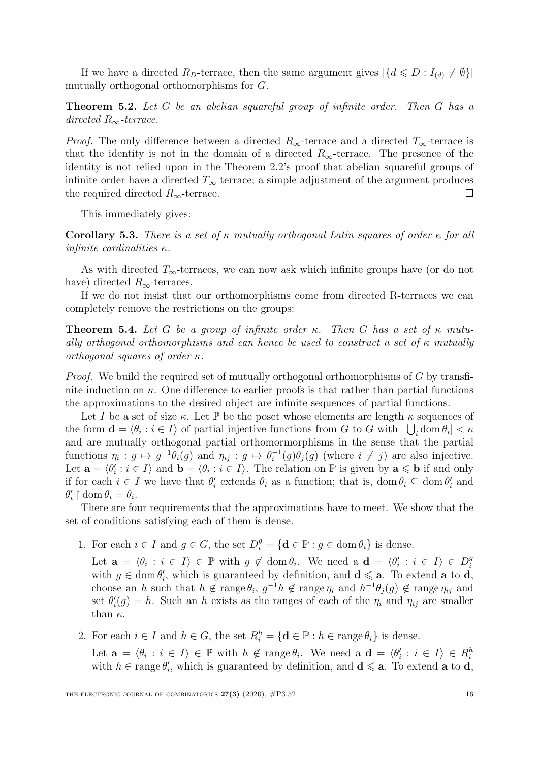If we have a directed  $R_D$ -terrace, then the same argument gives  $|\{d \leq D : I_{(d)} \neq \emptyset\}|$ mutually orthogonal orthomorphisms for G.

**Theorem 5.2.** Let G be an abelian squareful group of infinite order. Then G has a directed  $R_{\infty}$ -terrace.

*Proof.* The only difference between a directed  $R_{\infty}$ -terrace and a directed  $T_{\infty}$ -terrace is that the identity is not in the domain of a directed  $R_{\infty}$ -terrace. The presence of the identity is not relied upon in the Theorem [2.2'](#page-4-1)s proof that abelian squareful groups of infinite order have a directed  $T_{\infty}$  terrace; a simple adjustment of the argument produces the required directed  $R_{\infty}$ -terrace.  $\Box$ 

This immediately gives:

Corollary 5.3. There is a set of  $\kappa$  mutually orthogonal Latin squares of order  $\kappa$  for all infinite cardinalities  $\kappa$ .

As with directed  $T_{\infty}$ -terraces, we can now ask which infinite groups have (or do not have) directed  $R_{\infty}$ -terraces.

If we do not insist that our orthomorphisms come from directed R-terraces we can completely remove the restrictions on the groups:

**Theorem 5.4.** Let G be a group of infinite order κ. Then G has a set of  $\kappa$  mutually orthogonal orthomorphisms and can hence be used to construct a set of  $\kappa$  mutually orthogonal squares of order κ.

*Proof.* We build the required set of mutually orthogonal orthomorphisms of G by transfinite induction on  $\kappa$ . One difference to earlier proofs is that rather than partial functions the approximations to the desired object are infinite sequences of partial functions.

Let I be a set of size  $\kappa$ . Let P be the poset whose elements are length  $\kappa$  sequences of the form  $\mathbf{d} = \langle \theta_i : i \in I \rangle$  of partial injective functions from G to G with  $|\bigcup_i \text{dom } \theta_i| < \kappa$ and are mutually orthogonal partial orthomormorphisms in the sense that the partial functions  $\eta_i : g \mapsto g^{-1}\theta_i(g)$  and  $\eta_{ij} : g \mapsto \theta_i^{-1}$  $i_i^{-1}(g)\theta_j(g)$  (where  $i \neq j$ ) are also injective. Let  $\mathbf{a} = \langle \theta'_i : i \in I \rangle$  and  $\mathbf{b} = \langle \theta_i : i \in I \rangle$ . The relation on  $\mathbb P$  is given by  $\mathbf{a} \leqslant \mathbf{b}$  if and only if for each  $i \in I$  we have that  $\theta'_i$  extends  $\theta_i$  as a function; that is, dom  $\theta_i \subseteq \text{dom } \theta'_i$  and  $\theta'_i \restriction \text{dom}\,\theta_i = \theta_i.$ 

There are four requirements that the approximations have to meet. We show that the set of conditions satisfying each of them is dense.

1. For each  $i \in I$  and  $g \in G$ , the set  $D_i^g = {\bf d} \in \mathbb{P} : g \in \text{dom } \theta_i$  is dense.

Let  $\mathbf{a} = \langle \theta_i : i \in I \rangle \in \mathbb{P}$  with  $g \notin \text{dom } \theta_i$ . We need a  $\mathbf{d} = \langle \theta'_i : i \in I \rangle \in D_i^g$ i with  $g \in \text{dom } \theta_i'$ , which is guaranteed by definition, and  $\mathbf{d} \leq \mathbf{a}$ . To extend **a** to **d**, choose an h such that  $h \notin \text{range}\,\theta_i$ ,  $g^{-1}h \notin \text{range}\,\eta_i$  and  $h^{-1}\theta_j(g) \notin \text{range}\,\eta_{ij}$  and set  $\theta_i'(g) = h$ . Such an h exists as the ranges of each of the  $\eta_i$  and  $\eta_{ij}$  are smaller than  $\kappa$ .

2. For each  $i \in I$  and  $h \in G$ , the set  $R_i^h = {\mathbf{d} \in \mathbb{P} : h \in \text{range } \theta_i}$  is dense.

Let  $\mathbf{a} = \langle \theta_i : i \in I \rangle \in \mathbb{P}$  with  $h \notin \text{range } \theta_i$ . We need a  $\mathbf{d} = \langle \theta'_i : i \in I \rangle \in R_i^h$ with  $h \in \text{range } \theta_i'$ , which is guaranteed by definition, and  $\mathbf{d} \leq \mathbf{a}$ . To extend **a** to **d**,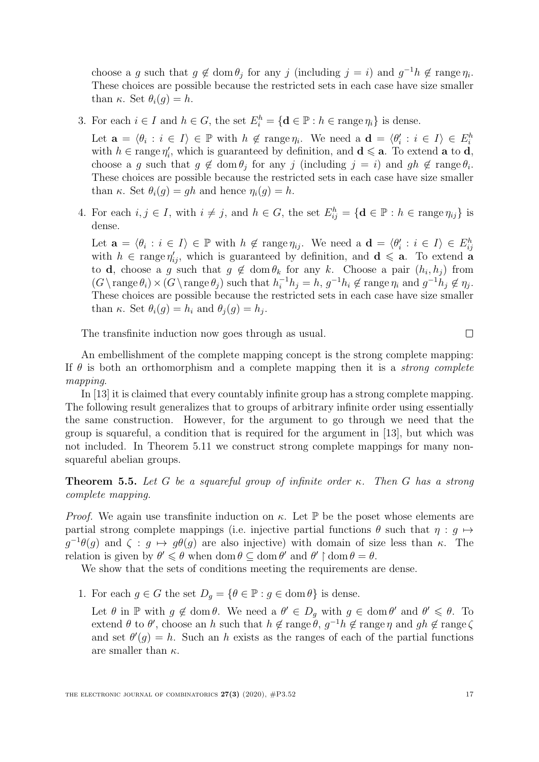choose a g such that  $g \notin \text{dom } \theta_j$  for any j (including  $j = i$ ) and  $g^{-1}h \notin \text{range } \eta_i$ . These choices are possible because the restricted sets in each case have size smaller than  $\kappa$ . Set  $\theta_i(q) = h$ .

3. For each  $i \in I$  and  $h \in G$ , the set  $E_i^h = {\bf{d}} \in \mathbb{P} : h \in \text{range } \eta_i$  is dense.

Let  $\mathbf{a} = \langle \theta_i : i \in I \rangle \in \mathbb{P}$  with  $h \notin \text{range } \eta_i$ . We need a  $\mathbf{d} = \langle \theta'_i : i \in I \rangle \in E_i^h$ with  $h \in \text{range } \eta'_i$ , which is guaranteed by definition, and  $\mathbf{d} \leq \mathbf{a}$ . To extend **a** to **d**, choose a g such that  $g \notin \text{dom } \theta_j$  for any j (including  $j = i$ ) and  $gh \notin \text{range } \theta_i$ . These choices are possible because the restricted sets in each case have size smaller than  $\kappa$ . Set  $\theta_i(g) = gh$  and hence  $\eta_i(g) = h$ .

4. For each  $i, j \in I$ , with  $i \neq j$ , and  $h \in G$ , the set  $E_{ij}^h = {\mathbf{d} \in \mathbb{P} : h \in \text{range } \eta_{ij} }$  is dense.

Let  $\mathbf{a} = \langle \theta_i : i \in I \rangle \in \mathbb{P}$  with  $h \notin \text{range } \eta_{ij}$ . We need a  $\mathbf{d} = \langle \theta'_i : i \in I \rangle \in E_{ij}^h$ with  $h \in \text{range } \eta'_{ij}$ , which is guaranteed by definition, and  $\mathbf{d} \leq \mathbf{a}$ . To extend a to **d**, choose a g such that  $g \notin \text{dom } \theta_k$  for any k. Choose a pair  $(h_i, h_j)$  from  $(G \setminus \text{range } \theta_i) \times (G \setminus \text{range } \theta_j)$  such that  $h_i^{-1}h_j = h$ ,  $g^{-1}h_i \notin \text{range } \eta_i$  and  $g^{-1}h_j \notin \eta_j$ . These choices are possible because the restricted sets in each case have size smaller than  $\kappa$ . Set  $\theta_i(g) = h_i$  and  $\theta_j(g) = h_j$ .

The transfinite induction now goes through as usual.

$$
\Box
$$

An embellishment of the complete mapping concept is the strong complete mapping: If  $\theta$  is both an orthomorphism and a complete mapping then it is a *strong complete* mapping.

In [\[13\]](#page-20-11) it is claimed that every countably infinite group has a strong complete mapping. The following result generalizes that to groups of arbitrary infinite order using essentially the same construction. However, for the argument to go through we need that the group is squareful, a condition that is required for the argument in [\[13\]](#page-20-11), but which was not included. In Theorem [5.11](#page-19-0) we construct strong complete mappings for many nonsquareful abelian groups.

<span id="page-16-0"></span>**Theorem 5.5.** Let G be a squareful group of infinite order  $\kappa$ . Then G has a strong complete mapping.

*Proof.* We again use transfinite induction on  $\kappa$ . Let  $\mathbb{P}$  be the poset whose elements are partial strong complete mappings (i.e. injective partial functions  $\theta$  such that  $\eta : q \mapsto$  $g^{-1}\theta(g)$  and  $\zeta : g \mapsto g\theta(g)$  are also injective) with domain of size less than  $\kappa$ . The relation is given by  $\theta' \leq \theta$  when dom  $\theta \subseteq \text{dom }\theta'$  and  $\theta' \upharpoonright \text{dom }\theta = \theta$ .

We show that the sets of conditions meeting the requirements are dense.

1. For each  $g \in G$  the set  $D_g = \{ \theta \in \mathbb{P} : g \in \text{dom } \theta \}$  is dense.

Let  $\theta$  in  $\mathbb P$  with  $g \notin \text{dom }\theta$ . We need a  $\theta' \in D_g$  with  $g \in \text{dom }\theta'$  and  $\theta' \leq \theta$ . To extend  $\theta$  to  $\theta'$ , choose an h such that  $h \notin \text{range}\,\theta$ ,  $g^{-1}h \notin \text{range}\,\eta$  and  $gh \notin \text{range}\,\zeta$ and set  $\theta'(g) = h$ . Such an h exists as the ranges of each of the partial functions are smaller than  $\kappa$ .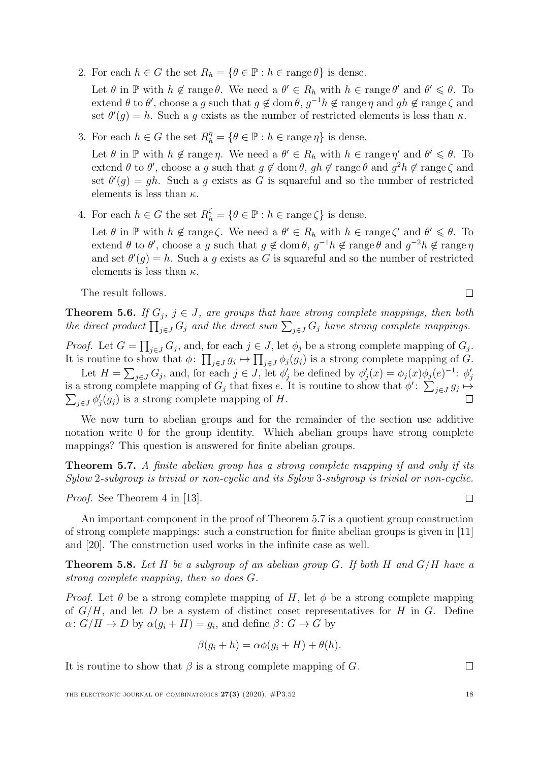2. For each  $h \in G$  the set  $R_h = \{ \theta \in \mathbb{P} : h \in \text{range } \theta \}$  is dense.

Let  $\theta$  in  $\mathbb P$  with  $h \notin \text{range }\theta$ . We need a  $\theta' \in R_h$  with  $h \in \text{range }\theta'$  and  $\theta' \leq \theta$ . To extend  $\theta$  to  $\theta'$ , choose a g such that  $g \notin \text{dom }\theta, g^{-1}h \notin \text{range }\eta$  and  $gh \notin \text{range }\zeta$  and set  $\theta'(g) = h$ . Such a g exists as the number of restricted elements is less than  $\kappa$ .

3. For each  $h \in G$  the set  $R_h^{\eta} = \{ \theta \in \mathbb{P} : h \in \text{range } \eta \}$  is dense.

Let  $\theta$  in  $\mathbb P$  with  $h \notin \text{range } \eta$ . We need a  $\theta' \in R_h$  with  $h \in \text{range } \eta'$  and  $\theta' \leq \theta$ . To extend  $\theta$  to  $\theta'$ , choose a g such that  $g \notin \text{dom }\theta$ ,  $gh \notin \text{range }\theta$  and  $g^2h \notin \text{range }\zeta$  and set  $\theta'(g) = gh$ . Such a g exists as G is squareful and so the number of restricted elements is less than  $\kappa$ .

4. For each  $h \in G$  the set  $R_h^{\zeta} = \{ \theta \in \mathbb{P} : h \in \text{range } \zeta \}$  is dense.

Let  $\theta$  in  $\mathbb P$  with  $h \notin \text{range }\zeta$ . We need a  $\theta' \in R_h$  with  $h \in \text{range }\zeta'$  and  $\theta' \leq \theta$ . To extend  $\theta$  to  $\theta'$ , choose a g such that  $g \notin \text{dom }\theta$ ,  $g^{-1}h \notin \text{range }\theta$  and  $g^{-2}h \notin \text{range }\eta$ and set  $\theta'(g) = h$ . Such a g exists as G is squareful and so the number of restricted elements is less than  $\kappa$ .

The result follows.

**Theorem 5.6.** If  $G_i$ ,  $j \in J$ , are groups that have strong complete mappings, then both

*Proof.* Let  $G = \prod_{j \in J} G_j$ , and, for each  $j \in J$ , let  $\phi_j$  be a strong complete mapping of  $G_j$ . It is routine to show that  $\phi: \prod_{j\in J} g_j \mapsto \prod_{j\in J} \phi_j(g_j)$  is a strong complete mapping of G.

the direct product  $\prod_{j\in J} G_j$  and the direct sum  $\sum_{j\in J} G_j$  have strong complete mappings.

Let  $H = \sum_{j \in J} G_j$ , and, for each  $j \in J$ , let  $\phi'_j$  be defined by  $\phi'_j(x) = \phi_j(x)\phi_j(e)^{-1}$ :  $\phi'_j$ is a strong complete mapping of  $G_j$  that fixes e. It is routine to show that  $\phi' \colon \sum_{j \in J} g_j \mapsto$  $\sum_{j\in J}\phi'_j(g_j)$  is a strong complete mapping of H.

We now turn to abelian groups and for the remainder of the section use additive notation write 0 for the group identity. Which abelian groups have strong complete mappings? This question is answered for finite abelian groups.

<span id="page-17-0"></span>Theorem 5.7. A finite abelian group has a strong complete mapping if and only if its Sylow 2-subgroup is trivial or non-cyclic and its Sylow 3-subgroup is trivial or non-cyclic.

Proof. See Theorem 4 in [\[13\]](#page-20-11).

An important component in the proof of Theorem [5.7](#page-17-0) is a quotient group construction of strong complete mappings: such a construction for finite abelian groups is given in [\[11\]](#page-20-12) and [\[20\]](#page-21-7). The construction used works in the infinite case as well.

<span id="page-17-1"></span>**Theorem 5.8.** Let H be a subgroup of an abelian group G. If both H and  $G/H$  have a strong complete mapping, then so does G.

*Proof.* Let  $\theta$  be a strong complete mapping of H, let  $\phi$  be a strong complete mapping of  $G/H$ , and let D be a system of distinct coset representatives for H in G. Define  $\alpha\colon G/H\to D$  by  $\alpha(g_i+H)=g_i$ , and define  $\beta\colon G\to G$  by

$$
\beta(g_i + h) = \alpha \phi(g_i + H) + \theta(h).
$$

It is routine to show that  $\beta$  is a strong complete mapping of G.

 $\Box$ 

 $\Box$ 

 $\Box$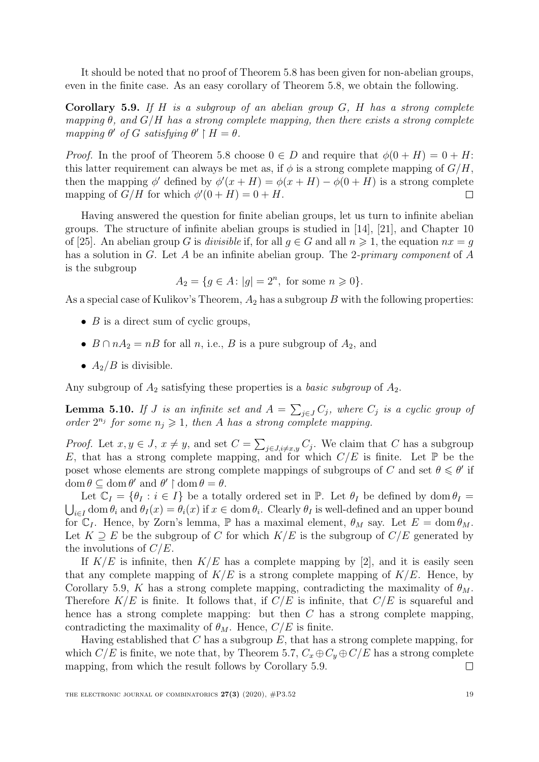It should be noted that no proof of Theorem [5.8](#page-17-1) has been given for non-abelian groups, even in the finite case. As an easy corollary of Theorem [5.8,](#page-17-1) we obtain the following.

<span id="page-18-0"></span>Corollary 5.9. If  $H$  is a subgroup of an abelian group  $G$ ,  $H$  has a strong complete mapping  $\theta$ , and  $G/H$  has a strong complete mapping, then there exists a strong complete mapping  $\theta'$  of G satisfying  $\theta' \upharpoonright H = \theta$ .

*Proof.* In the proof of Theorem [5.8](#page-17-1) choose  $0 \in D$  and require that  $\phi(0+H) = 0+H$ : this latter requirement can always be met as, if  $\phi$  is a strong complete mapping of  $G/H$ , then the mapping  $\phi'$  defined by  $\phi'(x+H) = \phi(x+H) - \phi(0+H)$  is a strong complete mapping of  $G/H$  for which  $\phi'(0+H) = 0+H$ .  $\Box$ 

Having answered the question for finite abelian groups, let us turn to infinite abelian groups. The structure of infinite abelian groups is studied in [\[14\]](#page-20-13), [\[21\]](#page-21-8), and Chapter 10 of [\[25\]](#page-21-9). An abelian group G is *divisible* if, for all  $g \in G$  and all  $n \geq 1$ , the equation  $nx = g$ has a solution in G. Let A be an infinite abelian group. The 2-primary component of A is the subgroup

$$
A_2 = \{ g \in A : |g| = 2^n, \text{ for some } n \geq 0 \}.
$$

As a special case of Kulikov's Theorem,  $A_2$  has a subgroup B with the following properties:

- $B$  is a direct sum of cyclic groups,
- $B \cap nA_2 = nB$  for all n, i.e., B is a pure subgroup of  $A_2$ , and
- $A_2/B$  is divisible.

Any subgroup of  $A_2$  satisfying these properties is a *basic subgroup* of  $A_2$ .

<span id="page-18-1"></span>**Lemma 5.10.** If J is an infinite set and  $A = \sum_{j \in J} C_j$ , where  $C_j$  is a cyclic group of order  $2^{n_j}$  for some  $n_j \geqslant 1$ , then A has a strong complete mapping.

*Proof.* Let  $x, y \in J$ ,  $x \neq y$ , and set  $C = \sum_{j \in J, i \neq x,y} C_j$ . We claim that C has a subgroup E, that has a strong complete mapping, and for which  $C/E$  is finite. Let  $\mathbb P$  be the poset whose elements are strong complete mappings of subgroups of C and set  $\theta \le \theta'$  if  $\operatorname{dom} \theta \subseteq \operatorname{dom} \theta'$  and  $\theta' \upharpoonright \operatorname{dom} \theta = \theta$ .

Let  $\mathbb{C}_I = \{\theta_I : i \in I\}$  be a totally ordered set in  $\mathbb{P}$ . Let  $\theta_I$  be defined by dom  $\theta_I =$  $\bigcup_{i\in I} \text{dom}\,\theta_i$  and  $\theta_I(x) = \theta_i(x)$  if  $x \in \text{dom}\,\theta_i$ . Clearly  $\theta_I$  is well-defined and an upper bound for  $\mathbb{C}_I$ . Hence, by Zorn's lemma, P has a maximal element,  $\theta_M$  say. Let  $E = \text{dom } \theta_M$ . Let  $K \supseteq E$  be the subgroup of C for which  $K/E$  is the subgroup of  $C/E$  generated by the involutions of  $C/E$ .

If  $K/E$  is infinite, then  $K/E$  has a complete mapping by [\[2\]](#page-20-9), and it is easily seen that any complete mapping of  $K/E$  is a strong complete mapping of  $K/E$ . Hence, by Corollary [5.9,](#page-18-0) K has a strong complete mapping, contradicting the maximality of  $\theta_M$ . Therefore  $K/E$  is finite. It follows that, if  $C/E$  is infinite, that  $C/E$  is squareful and hence has a strong complete mapping: but then C has a strong complete mapping, contradicting the maximality of  $\theta_M$ . Hence,  $C/E$  is finite.

Having established that  $C$  has a subgroup  $E$ , that has a strong complete mapping, for which  $C/E$  is finite, we note that, by Theorem [5.7,](#page-17-0)  $C_x \oplus C_y \oplus C/E$  has a strong complete mapping, from which the result follows by Corollary [5.9.](#page-18-0)  $\Box$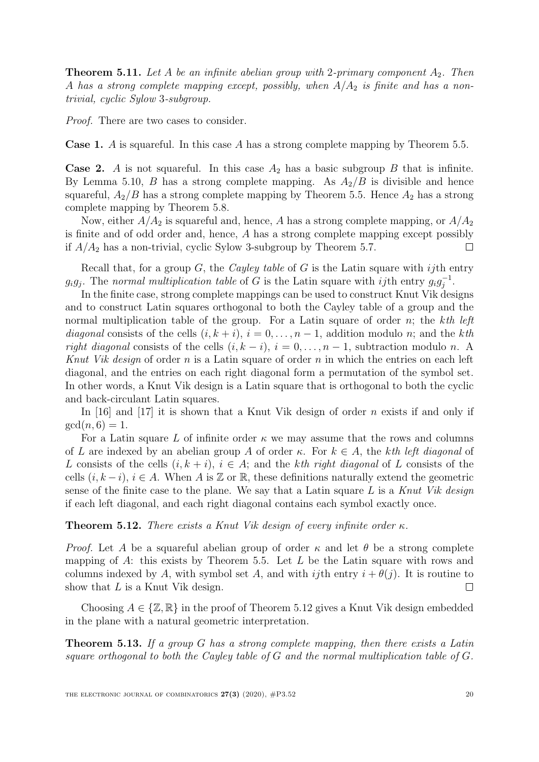<span id="page-19-0"></span>**Theorem 5.11.** Let A be an infinite abelian group with 2-primary component  $A_2$ . Then A has a strong complete mapping except, possibly, when  $A/A<sub>2</sub>$  is finite and has a nontrivial, cyclic Sylow 3-subgroup.

Proof. There are two cases to consider.

**Case 1.** A is squareful. In this case A has a strong complete mapping by Theorem [5.5.](#page-16-0)

**Case 2.** A is not squareful. In this case  $A_2$  has a basic subgroup B that is infinite. By Lemma [5.10,](#page-18-1) B has a strong complete mapping. As  $A_2/B$  is divisible and hence squareful,  $A_2/B$  has a strong complete mapping by Theorem [5.5.](#page-16-0) Hence  $A_2$  has a strong complete mapping by Theorem [5.8.](#page-17-1)

Now, either  $A/A_2$  is squareful and, hence, A has a strong complete mapping, or  $A/A_2$ is finite and of odd order and, hence, A has a strong complete mapping except possibly if  $A/A<sub>2</sub>$  has a non-trivial, cyclic Sylow 3-subgroup by Theorem [5.7.](#page-17-0)  $\Box$ 

Recall that, for a group  $G$ , the *Cayley table* of  $G$  is the Latin square with *ij*th entry  $g_i g_j$ . The normal multiplication table of G is the Latin square with ijth entry  $g_i g_j^{-1}$  $\bar{j}^{-1}$ .

In the finite case, strong complete mappings can be used to construct Knut Vik designs and to construct Latin squares orthogonal to both the Cayley table of a group and the normal multiplication table of the group. For a Latin square of order n; the kth left diagonal consists of the cells  $(i, k + i)$ ,  $i = 0, \ldots, n - 1$ , addition modulo n; and the kth right diagonal consists of the cells  $(i, k - i)$ ,  $i = 0, \ldots, n - 1$ , subtraction modulo n. A Knut Vik design of order n is a Latin square of order n in which the entries on each left diagonal, and the entries on each right diagonal form a permutation of the symbol set. In other words, a Knut Vik design is a Latin square that is orthogonal to both the cyclic and back-circulant Latin squares.

In [\[16\]](#page-21-10) and [\[17\]](#page-21-11) it is shown that a Knut Vik design of order  $n$  exists if and only if  $gcd(n, 6) = 1.$ 

For a Latin square L of infinite order  $\kappa$  we may assume that the rows and columns of L are indexed by an abelian group A of order  $\kappa$ . For  $k \in A$ , the kth left diagonal of L consists of the cells  $(i, k + i)$ ,  $i \in A$ ; and the kth right diagonal of L consists of the cells  $(i, k - i)$ ,  $i \in A$ . When A is Z or R, these definitions naturally extend the geometric sense of the finite case to the plane. We say that a Latin square  $L$  is a Knut Vik design if each left diagonal, and each right diagonal contains each symbol exactly once.

<span id="page-19-1"></span>**Theorem 5.12.** There exists a Knut Vik design of every infinite order  $\kappa$ .

*Proof.* Let A be a squareful abelian group of order  $\kappa$  and let  $\theta$  be a strong complete mapping of A: this exists by Theorem [5.5.](#page-16-0) Let  $L$  be the Latin square with rows and columns indexed by A, with symbol set A, and with ijth entry  $i + \theta(j)$ . It is routine to show that  $L$  is a Knut Vik design.  $\Box$ 

Choosing  $A \in \{Z, \mathbb{R}\}\$ in the proof of Theorem [5.12](#page-19-1) gives a Knut Vik design embedded in the plane with a natural geometric interpretation.

**Theorem 5.13.** If a group G has a strong complete mapping, then there exists a Latin square orthogonal to both the Cayley table of  $G$  and the normal multiplication table of  $G$ .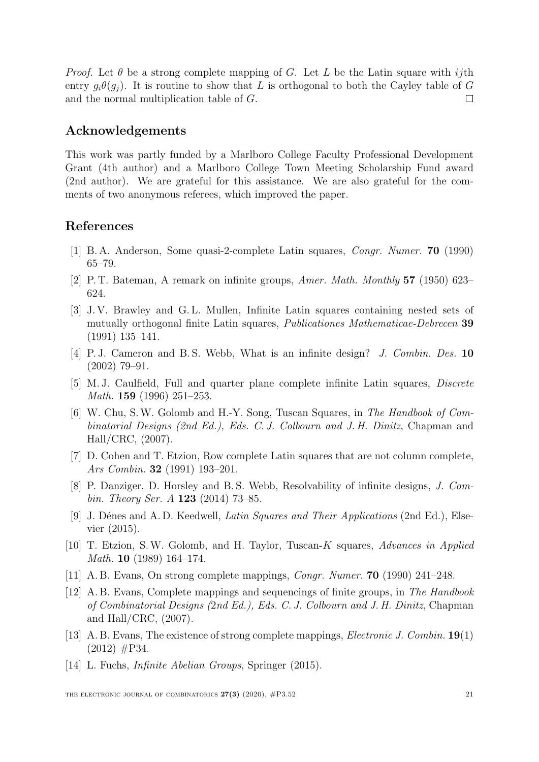*Proof.* Let  $\theta$  be a strong complete mapping of G. Let L be the Latin square with ijth entry  $q_i\theta(q_i)$ . It is routine to show that L is orthogonal to both the Cayley table of G and the normal multiplication table of G.  $\Box$ 

#### Acknowledgements

This work was partly funded by a Marlboro College Faculty Professional Development Grant (4th author) and a Marlboro College Town Meeting Scholarship Fund award (2nd author). We are grateful for this assistance. We are also grateful for the comments of two anonymous referees, which improved the paper.

#### References

- <span id="page-20-0"></span>[1] B. A. Anderson, Some quasi-2-complete Latin squares, Congr. Numer. 70 (1990) 65–79.
- <span id="page-20-9"></span>[2] P. T. Bateman, A remark on infinite groups, Amer. Math. Monthly 57 (1950) 623– 624.
- <span id="page-20-10"></span>[3] J. V. Brawley and G. L. Mullen, Infinite Latin squares containing nested sets of mutually orthogonal finite Latin squares, Publicationes Mathematicae-Debrecen 39 (1991) 135–141.
- <span id="page-20-2"></span>[4] P. J. Cameron and B. S. Webb, What is an infinite design? J. Combin. Des. 10 (2002) 79–91.
- <span id="page-20-3"></span>[5] M. J. Caulfield, Full and quarter plane complete infinite Latin squares, Discrete Math. 159 (1996) 251–253.
- <span id="page-20-1"></span>[6] W. Chu, S.W. Golomb and H.-Y. Song, Tuscan Squares, in The Handbook of Combinatorial Designs (2nd Ed.), Eds. C. J. Colbourn and J. H. Dinitz, Chapman and Hall/CRC, (2007).
- <span id="page-20-7"></span>[7] D. Cohen and T. Etzion, Row complete Latin squares that are not column complete, Ars Combin. 32 (1991) 193–201.
- <span id="page-20-6"></span>[8] P. Danziger, D. Horsley and B. S. Webb, Resolvability of infinite designs, J. Combin. Theory Ser. A **123** (2014) 73-85.
- <span id="page-20-4"></span>[9] J. Dénes and A. D. Keedwell, Latin Squares and Their Applications (2nd Ed.), Elsevier (2015).
- <span id="page-20-5"></span>[10] T. Etzion, S.W. Golomb, and H. Taylor, Tuscan-K squares, Advances in Applied Math. 10 (1989) 164–174.
- <span id="page-20-12"></span>[11] A. B. Evans, On strong complete mappings, Congr. Numer. 70 (1990) 241–248.
- <span id="page-20-8"></span>[12] A. B. Evans, Complete mappings and sequencings of finite groups, in The Handbook of Combinatorial Designs (2nd Ed.), Eds. C. J. Colbourn and J. H. Dinitz, Chapman and Hall/CRC, (2007).
- <span id="page-20-11"></span>[13] A. B. Evans, The existence of strong complete mappings, Electronic J. Combin. 19(1)  $(2012)$  #P34.
- <span id="page-20-13"></span>[14] L. Fuchs, Infinite Abelian Groups, Springer (2015).